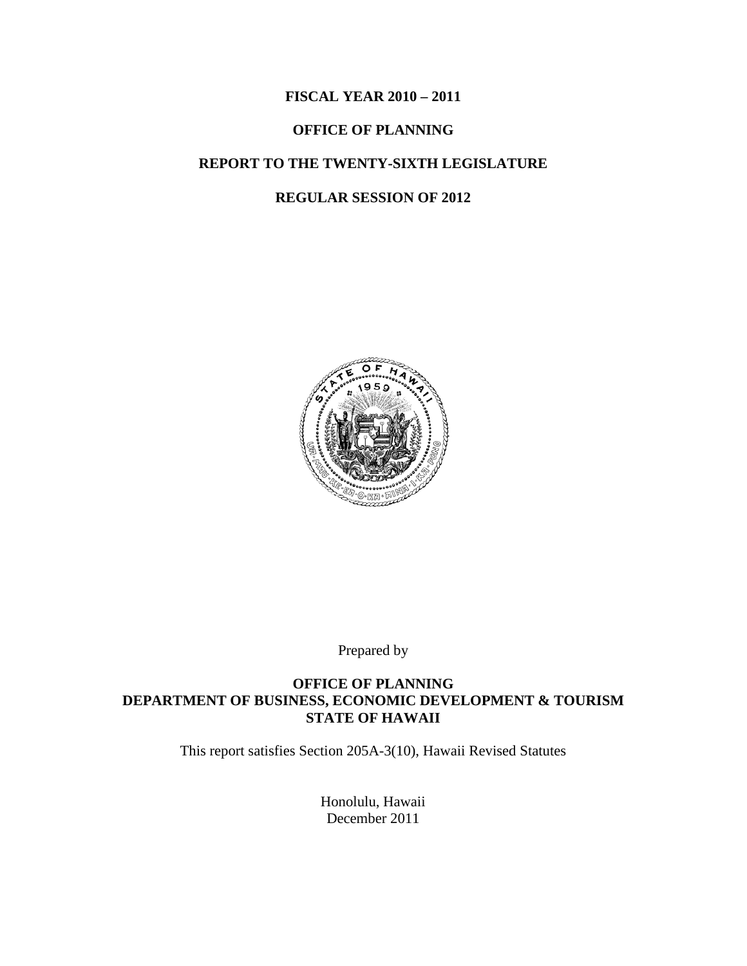### **FISCAL YEAR 2010 – 2011**

### **OFFICE OF PLANNING**

## **REPORT TO THE TWENTY-SIXTH LEGISLATURE**

#### **REGULAR SESSION OF 2012**



Prepared by

### **OFFICE OF PLANNING DEPARTMENT OF BUSINESS, ECONOMIC DEVELOPMENT & TOURISM STATE OF HAWAII**

This report satisfies Section 205A-3(10), Hawaii Revised Statutes

Honolulu, Hawaii December 2011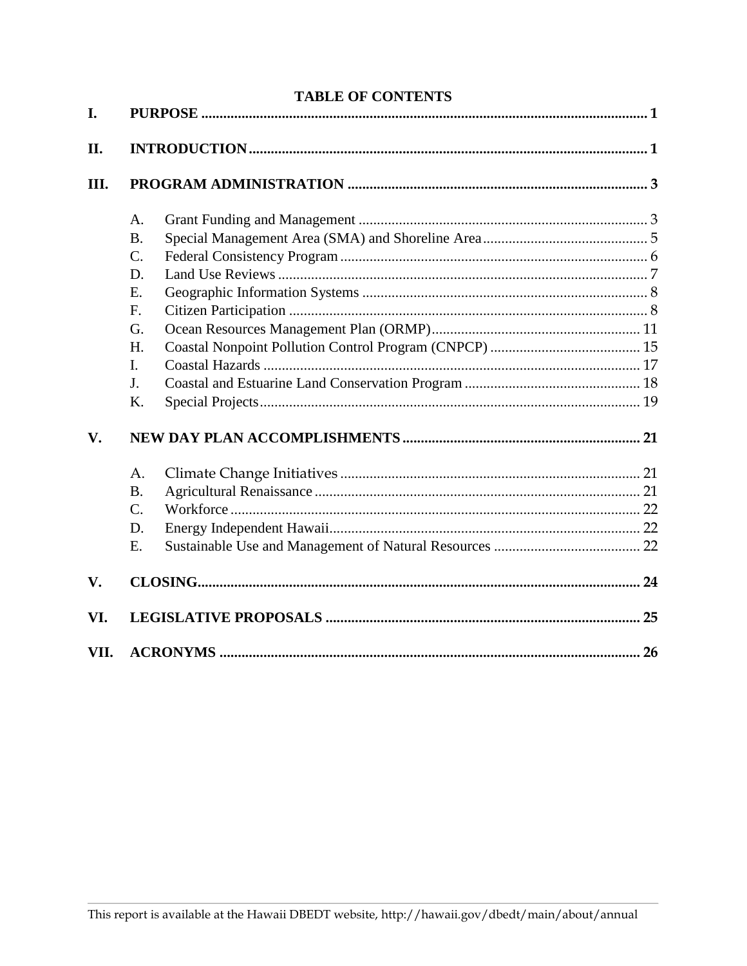|      | <b>TABLE OF CONTENTS</b> |  |  |  |
|------|--------------------------|--|--|--|
| I.   |                          |  |  |  |
| II.  |                          |  |  |  |
| Ш.   |                          |  |  |  |
|      | A.                       |  |  |  |
|      | <b>B.</b>                |  |  |  |
|      | $\mathbf{C}$ .           |  |  |  |
|      | D.                       |  |  |  |
|      | E.                       |  |  |  |
|      | F <sub>r</sub>           |  |  |  |
|      | G.                       |  |  |  |
|      | H.                       |  |  |  |
|      | I.                       |  |  |  |
|      | J.                       |  |  |  |
|      | Κ.                       |  |  |  |
| V.   |                          |  |  |  |
|      | A.                       |  |  |  |
|      | <b>B.</b>                |  |  |  |
|      | $\mathcal{C}$ .          |  |  |  |
|      | D.                       |  |  |  |
|      | Ε.                       |  |  |  |
| V.   |                          |  |  |  |
| VI.  |                          |  |  |  |
| VII. |                          |  |  |  |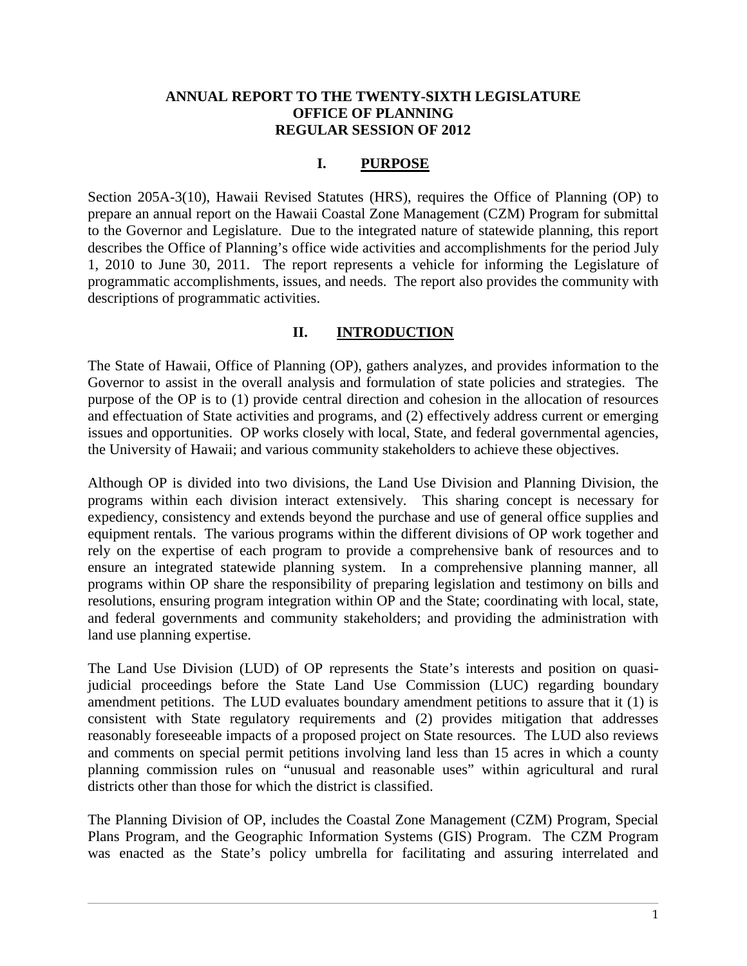#### **ANNUAL REPORT TO THE TWENTY-SIXTH LEGISLATURE OFFICE OF PLANNING REGULAR SESSION OF 2012**

#### **I. PURPOSE**

<span id="page-2-0"></span>Section 205A-3(10), Hawaii Revised Statutes (HRS), requires the Office of Planning (OP) to prepare an annual report on the Hawaii Coastal Zone Management (CZM) Program for submittal to the Governor and Legislature. Due to the integrated nature of statewide planning, this report describes the Office of Planning's office wide activities and accomplishments for the period July 1, 2010 to June 30, 2011. The report represents a vehicle for informing the Legislature of programmatic accomplishments, issues, and needs. The report also provides the community with descriptions of programmatic activities.

#### **II. INTRODUCTION**

<span id="page-2-1"></span>The State of Hawaii, Office of Planning (OP), gathers analyzes, and provides information to the Governor to assist in the overall analysis and formulation of state policies and strategies. The purpose of the OP is to (1) provide central direction and cohesion in the allocation of resources and effectuation of State activities and programs, and (2) effectively address current or emerging issues and opportunities. OP works closely with local, State, and federal governmental agencies, the University of Hawaii; and various community stakeholders to achieve these objectives.

Although OP is divided into two divisions, the Land Use Division and Planning Division, the programs within each division interact extensively. This sharing concept is necessary for expediency, consistency and extends beyond the purchase and use of general office supplies and equipment rentals. The various programs within the different divisions of OP work together and rely on the expertise of each program to provide a comprehensive bank of resources and to ensure an integrated statewide planning system. In a comprehensive planning manner, all programs within OP share the responsibility of preparing legislation and testimony on bills and resolutions, ensuring program integration within OP and the State; coordinating with local, state, and federal governments and community stakeholders; and providing the administration with land use planning expertise.

The Land Use Division (LUD) of OP represents the State's interests and position on quasijudicial proceedings before the State Land Use Commission (LUC) regarding boundary amendment petitions. The LUD evaluates boundary amendment petitions to assure that it (1) is consistent with State regulatory requirements and (2) provides mitigation that addresses reasonably foreseeable impacts of a proposed project on State resources. The LUD also reviews and comments on special permit petitions involving land less than 15 acres in which a county planning commission rules on "unusual and reasonable uses" within agricultural and rural districts other than those for which the district is classified.

The Planning Division of OP, includes the Coastal Zone Management (CZM) Program, Special Plans Program, and the Geographic Information Systems (GIS) Program. The CZM Program was enacted as the State's policy umbrella for facilitating and assuring interrelated and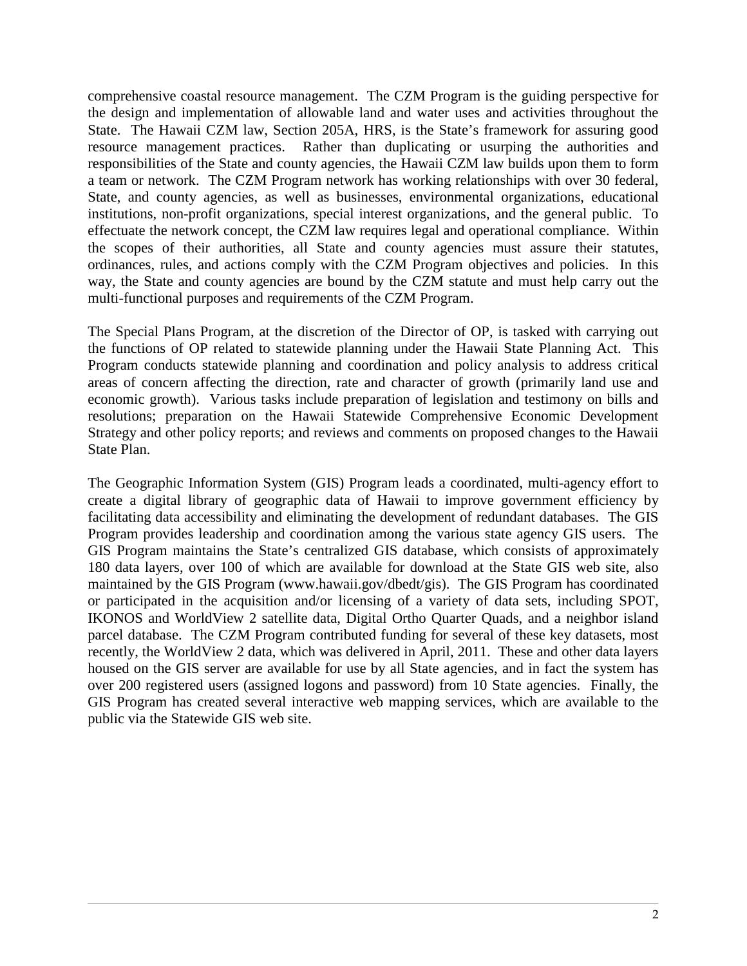comprehensive coastal resource management. The CZM Program is the guiding perspective for the design and implementation of allowable land and water uses and activities throughout the State. The Hawaii CZM law, Section 205A, HRS, is the State's framework for assuring good resource management practices. Rather than duplicating or usurping the authorities and responsibilities of the State and county agencies, the Hawaii CZM law builds upon them to form a team or network. The CZM Program network has working relationships with over 30 federal, State, and county agencies, as well as businesses, environmental organizations, educational institutions, non-profit organizations, special interest organizations, and the general public. To effectuate the network concept, the CZM law requires legal and operational compliance. Within the scopes of their authorities, all State and county agencies must assure their statutes, ordinances, rules, and actions comply with the CZM Program objectives and policies. In this way, the State and county agencies are bound by the CZM statute and must help carry out the multi-functional purposes and requirements of the CZM Program.

The Special Plans Program, at the discretion of the Director of OP, is tasked with carrying out the functions of OP related to statewide planning under the Hawaii State Planning Act. This Program conducts statewide planning and coordination and policy analysis to address critical areas of concern affecting the direction, rate and character of growth (primarily land use and economic growth). Various tasks include preparation of legislation and testimony on bills and resolutions; preparation on the Hawaii Statewide Comprehensive Economic Development Strategy and other policy reports; and reviews and comments on proposed changes to the Hawaii State Plan.

The Geographic Information System (GIS) Program leads a coordinated, multi-agency effort to create a digital library of geographic data of Hawaii to improve government efficiency by facilitating data accessibility and eliminating the development of redundant databases. The GIS Program provides leadership and coordination among the various state agency GIS users. The GIS Program maintains the State's centralized GIS database, which consists of approximately 180 data layers, over 100 of which are available for download at the State GIS web site, also maintained by the GIS Program (www.hawaii.gov/dbedt/gis). The GIS Program has coordinated or participated in the acquisition and/or licensing of a variety of data sets, including SPOT, IKONOS and WorldView 2 satellite data, Digital Ortho Quarter Quads, and a neighbor island parcel database. The CZM Program contributed funding for several of these key datasets, most recently, the WorldView 2 data, which was delivered in April, 2011. These and other data layers housed on the GIS server are available for use by all State agencies, and in fact the system has over 200 registered users (assigned logons and password) from 10 State agencies. Finally, the GIS Program has created several interactive web mapping services, which are available to the public via the Statewide GIS web site.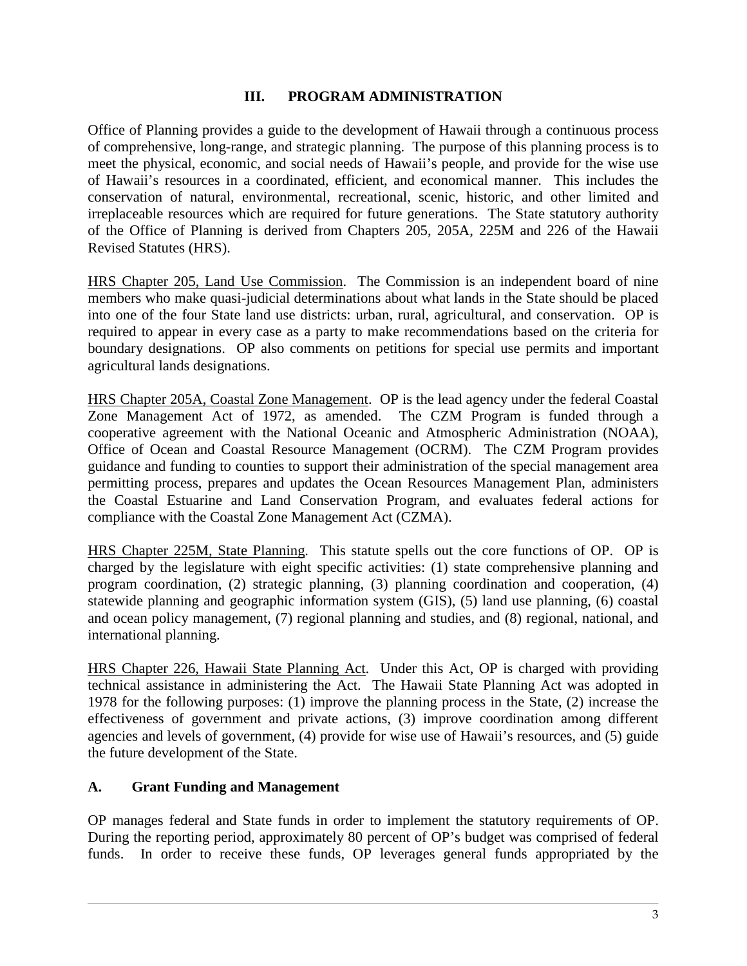### **III. PROGRAM ADMINISTRATION**

<span id="page-4-0"></span>Office of Planning provides a guide to the development of Hawaii through a continuous process of comprehensive, long-range, and strategic planning. The purpose of this planning process is to meet the physical, economic, and social needs of Hawaii's people, and provide for the wise use of Hawaii's resources in a coordinated, efficient, and economical manner. This includes the conservation of natural, environmental, recreational, scenic, historic, and other limited and irreplaceable resources which are required for future generations. The State statutory authority of the Office of Planning is derived from Chapters 205, 205A, 225M and 226 of the Hawaii Revised Statutes (HRS).

HRS Chapter 205, Land Use Commission. The Commission is an independent board of nine members who make quasi-judicial determinations about what lands in the State should be placed into one of the four State land use districts: urban, rural, agricultural, and conservation. OP is required to appear in every case as a party to make recommendations based on the criteria for boundary designations. OP also comments on petitions for special use permits and important agricultural lands designations.

HRS Chapter 205A, Coastal Zone Management. OP is the lead agency under the federal Coastal Zone Management Act of 1972, as amended. The CZM Program is funded through a cooperative agreement with the National Oceanic and Atmospheric Administration (NOAA), Office of Ocean and Coastal Resource Management (OCRM). The CZM Program provides guidance and funding to counties to support their administration of the special management area permitting process, prepares and updates the Ocean Resources Management Plan, administers the Coastal Estuarine and Land Conservation Program, and evaluates federal actions for compliance with the Coastal Zone Management Act (CZMA).

HRS Chapter 225M, State Planning. This statute spells out the core functions of OP. OP is charged by the legislature with eight specific activities: (1) state comprehensive planning and program coordination, (2) strategic planning, (3) planning coordination and cooperation, (4) statewide planning and geographic information system (GIS), (5) land use planning, (6) coastal and ocean policy management, (7) regional planning and studies, and (8) regional, national, and international planning.

HRS Chapter 226, Hawaii State Planning Act. Under this Act, OP is charged with providing technical assistance in administering the Act. The Hawaii State Planning Act was adopted in 1978 for the following purposes: (1) improve the planning process in the State, (2) increase the effectiveness of government and private actions, (3) improve coordination among different agencies and levels of government, (4) provide for wise use of Hawaii's resources, and (5) guide the future development of the State.

### <span id="page-4-1"></span>**A. Grant Funding and Management**

OP manages federal and State funds in order to implement the statutory requirements of OP. During the reporting period, approximately 80 percent of OP's budget was comprised of federal funds. In order to receive these funds, OP leverages general funds appropriated by the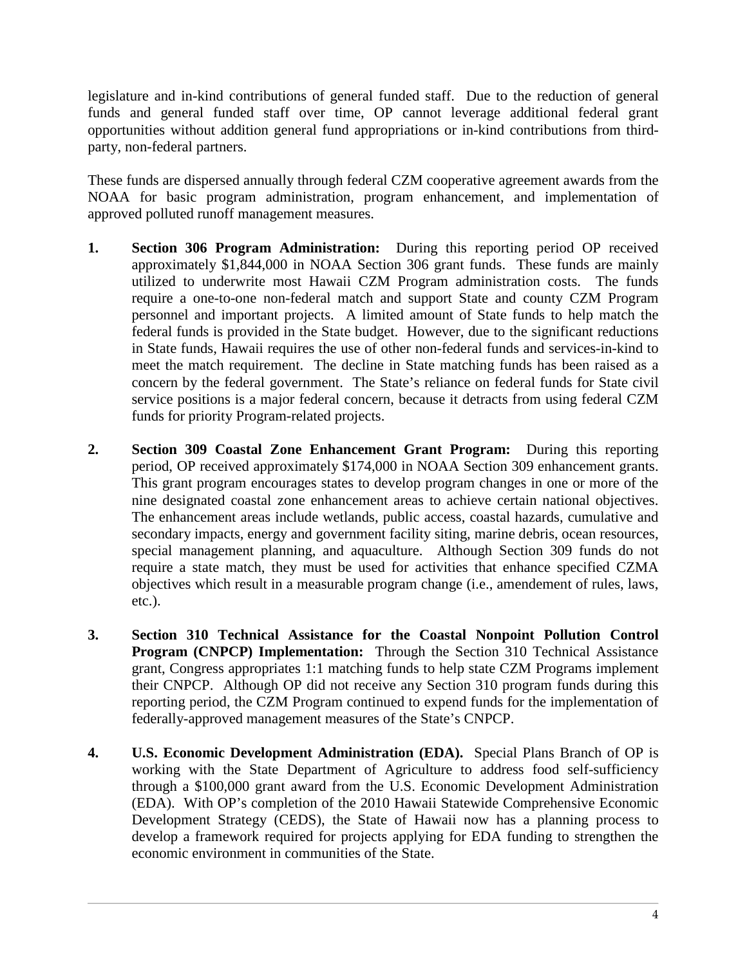legislature and in-kind contributions of general funded staff. Due to the reduction of general funds and general funded staff over time, OP cannot leverage additional federal grant opportunities without addition general fund appropriations or in-kind contributions from thirdparty, non-federal partners.

These funds are dispersed annually through federal CZM cooperative agreement awards from the NOAA for basic program administration, program enhancement, and implementation of approved polluted runoff management measures.

- **1. Section 306 Program Administration:** During this reporting period OP received approximately \$1,844,000 in NOAA Section 306 grant funds. These funds are mainly utilized to underwrite most Hawaii CZM Program administration costs. The funds require a one-to-one non-federal match and support State and county CZM Program personnel and important projects. A limited amount of State funds to help match the federal funds is provided in the State budget. However, due to the significant reductions in State funds, Hawaii requires the use of other non-federal funds and services-in-kind to meet the match requirement. The decline in State matching funds has been raised as a concern by the federal government. The State's reliance on federal funds for State civil service positions is a major federal concern, because it detracts from using federal CZM funds for priority Program-related projects.
- **2. Section 309 Coastal Zone Enhancement Grant Program:** During this reporting period, OP received approximately \$174,000 in NOAA Section 309 enhancement grants. This grant program encourages states to develop program changes in one or more of the nine designated coastal zone enhancement areas to achieve certain national objectives. The enhancement areas include wetlands, public access, coastal hazards, cumulative and secondary impacts, energy and government facility siting, marine debris, ocean resources, special management planning, and aquaculture. Although Section 309 funds do not require a state match, they must be used for activities that enhance specified CZMA objectives which result in a measurable program change (i.e., amendement of rules, laws, etc.).
- **3. Section 310 Technical Assistance for the Coastal Nonpoint Pollution Control Program (CNPCP) Implementation:** Through the Section 310 Technical Assistance grant, Congress appropriates 1:1 matching funds to help state CZM Programs implement their CNPCP. Although OP did not receive any Section 310 program funds during this reporting period, the CZM Program continued to expend funds for the implementation of federally-approved management measures of the State's CNPCP.
- **4. U.S. Economic Development Administration (EDA).** Special Plans Branch of OP is working with the State Department of Agriculture to address food self-sufficiency through a \$100,000 grant award from the U.S. Economic Development Administration (EDA). With OP's completion of the 2010 Hawaii Statewide Comprehensive Economic Development Strategy (CEDS), the State of Hawaii now has a planning process to develop a framework required for projects applying for EDA funding to strengthen the economic environment in communities of the State.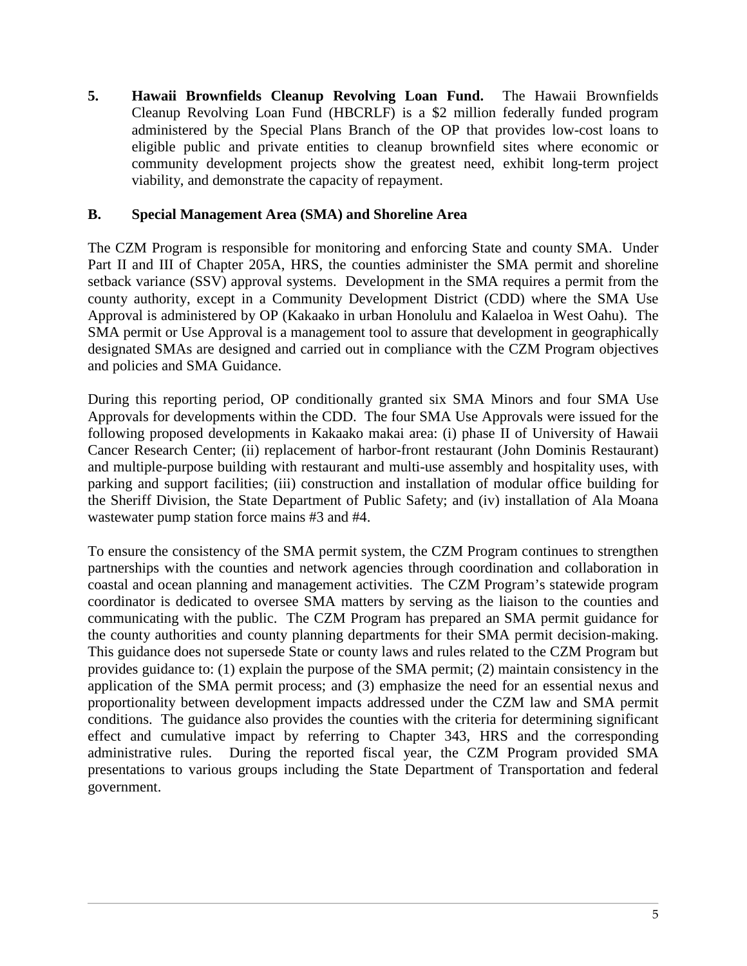**5. Hawaii Brownfields Cleanup Revolving Loan Fund.** The Hawaii Brownfields Cleanup Revolving Loan Fund (HBCRLF) is a \$2 million federally funded program administered by the Special Plans Branch of the OP that provides low-cost loans to eligible public and private entities to cleanup brownfield sites where economic or community development projects show the greatest need, exhibit long-term project viability, and demonstrate the capacity of repayment.

### <span id="page-6-0"></span>**B. Special Management Area (SMA) and Shoreline Area**

The CZM Program is responsible for monitoring and enforcing State and county SMA. Under Part II and III of Chapter 205A, HRS, the counties administer the SMA permit and shoreline setback variance (SSV) approval systems. Development in the SMA requires a permit from the county authority, except in a Community Development District (CDD) where the SMA Use Approval is administered by OP (Kakaako in urban Honolulu and Kalaeloa in West Oahu). The SMA permit or Use Approval is a management tool to assure that development in geographically designated SMAs are designed and carried out in compliance with the CZM Program objectives and policies and SMA Guidance.

During this reporting period, OP conditionally granted six SMA Minors and four SMA Use Approvals for developments within the CDD. The four SMA Use Approvals were issued for the following proposed developments in Kakaako makai area: (i) phase II of University of Hawaii Cancer Research Center; (ii) replacement of harbor-front restaurant (John Dominis Restaurant) and multiple-purpose building with restaurant and multi-use assembly and hospitality uses, with parking and support facilities; (iii) construction and installation of modular office building for the Sheriff Division, the State Department of Public Safety; and (iv) installation of Ala Moana wastewater pump station force mains #3 and #4.

<span id="page-6-1"></span>To ensure the consistency of the SMA permit system, the CZM Program continues to strengthen partnerships with the counties and network agencies through coordination and collaboration in coastal and ocean planning and management activities. The CZM Program's statewide program coordinator is dedicated to oversee SMA matters by serving as the liaison to the counties and communicating with the public. The CZM Program has prepared an SMA permit guidance for the county authorities and county planning departments for their SMA permit decision-making. This guidance does not supersede State or county laws and rules related to the CZM Program but provides guidance to: (1) explain the purpose of the SMA permit; (2) maintain consistency in the application of the SMA permit process; and (3) emphasize the need for an essential nexus and proportionality between development impacts addressed under the CZM law and SMA permit conditions. The guidance also provides the counties with the criteria for determining significant effect and cumulative impact by referring to Chapter 343, HRS and the corresponding administrative rules. During the reported fiscal year, the CZM Program provided SMA presentations to various groups including the State Department of Transportation and federal government.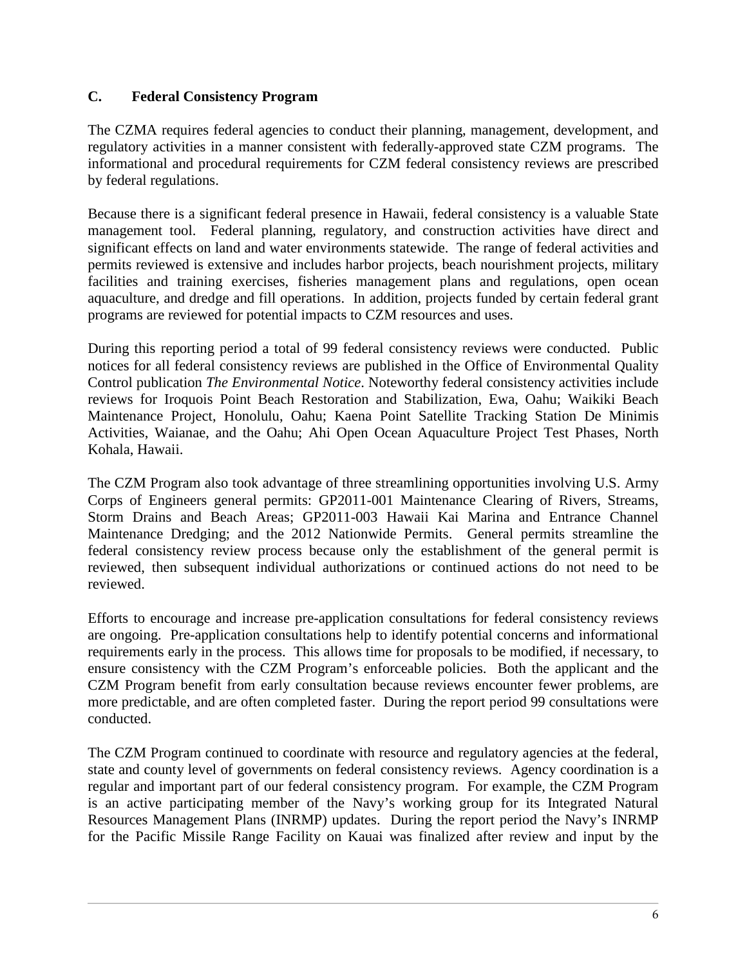## **C. Federal Consistency Program**

The CZMA requires federal agencies to conduct their planning, management, development, and regulatory activities in a manner consistent with federally-approved state CZM programs. The informational and procedural requirements for CZM federal consistency reviews are prescribed by federal regulations.

Because there is a significant federal presence in Hawaii, federal consistency is a valuable State management tool. Federal planning, regulatory, and construction activities have direct and significant effects on land and water environments statewide. The range of federal activities and permits reviewed is extensive and includes harbor projects, beach nourishment projects, military facilities and training exercises, fisheries management plans and regulations, open ocean aquaculture, and dredge and fill operations. In addition, projects funded by certain federal grant programs are reviewed for potential impacts to CZM resources and uses.

During this reporting period a total of 99 federal consistency reviews were conducted. Public notices for all federal consistency reviews are published in the Office of Environmental Quality Control publication *The Environmental Notice*. Noteworthy federal consistency activities include reviews for Iroquois Point Beach Restoration and Stabilization, Ewa, Oahu; Waikiki Beach Maintenance Project, Honolulu, Oahu; Kaena Point Satellite Tracking Station De Minimis Activities, Waianae, and the Oahu; Ahi Open Ocean Aquaculture Project Test Phases, North Kohala, Hawaii.

The CZM Program also took advantage of three streamlining opportunities involving U.S. Army Corps of Engineers general permits: GP2011-001 Maintenance Clearing of Rivers, Streams, Storm Drains and Beach Areas; GP2011-003 Hawaii Kai Marina and Entrance Channel Maintenance Dredging; and the 2012 Nationwide Permits. General permits streamline the federal consistency review process because only the establishment of the general permit is reviewed, then subsequent individual authorizations or continued actions do not need to be reviewed.

Efforts to encourage and increase pre-application consultations for federal consistency reviews are ongoing. Pre-application consultations help to identify potential concerns and informational requirements early in the process. This allows time for proposals to be modified, if necessary, to ensure consistency with the CZM Program's enforceable policies. Both the applicant and the CZM Program benefit from early consultation because reviews encounter fewer problems, are more predictable, and are often completed faster. During the report period 99 consultations were conducted.

The CZM Program continued to coordinate with resource and regulatory agencies at the federal, state and county level of governments on federal consistency reviews. Agency coordination is a regular and important part of our federal consistency program. For example, the CZM Program is an active participating member of the Navy's working group for its Integrated Natural Resources Management Plans (INRMP) updates. During the report period the Navy's INRMP for the Pacific Missile Range Facility on Kauai was finalized after review and input by the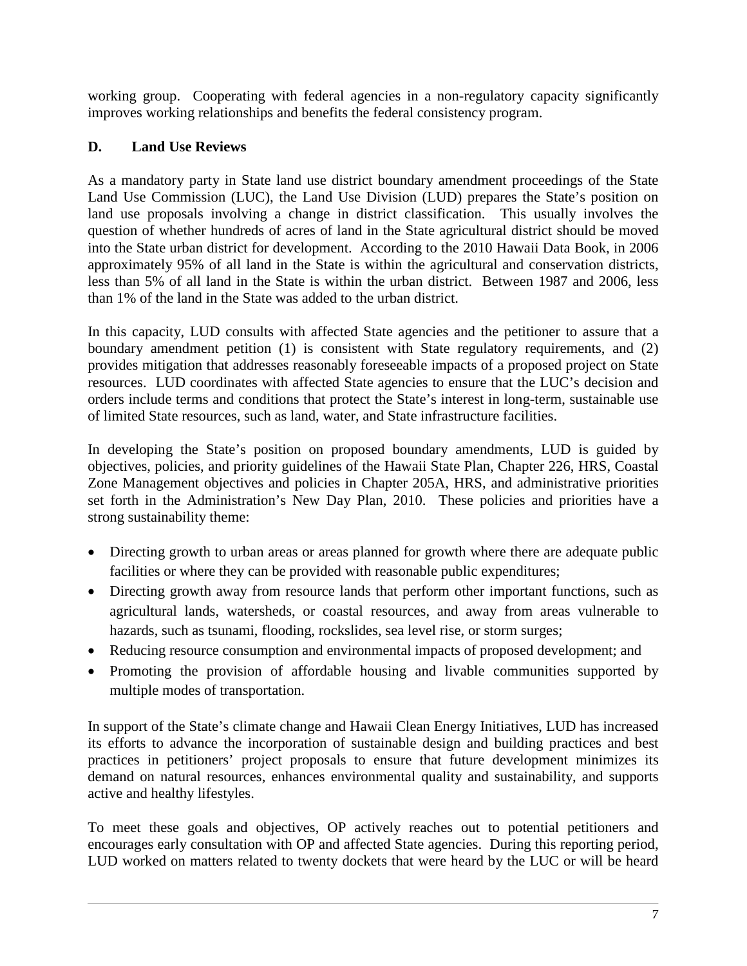working group. Cooperating with federal agencies in a non-regulatory capacity significantly improves working relationships and benefits the federal consistency program.

# <span id="page-8-0"></span>**D. Land Use Reviews**

As a mandatory party in State land use district boundary amendment proceedings of the State Land Use Commission (LUC), the Land Use Division (LUD) prepares the State's position on land use proposals involving a change in district classification. This usually involves the question of whether hundreds of acres of land in the State agricultural district should be moved into the State urban district for development. According to the 2010 Hawaii Data Book, in 2006 approximately 95% of all land in the State is within the agricultural and conservation districts, less than 5% of all land in the State is within the urban district. Between 1987 and 2006, less than 1% of the land in the State was added to the urban district.

In this capacity, LUD consults with affected State agencies and the petitioner to assure that a boundary amendment petition (1) is consistent with State regulatory requirements, and (2) provides mitigation that addresses reasonably foreseeable impacts of a proposed project on State resources. LUD coordinates with affected State agencies to ensure that the LUC's decision and orders include terms and conditions that protect the State's interest in long-term, sustainable use of limited State resources, such as land, water, and State infrastructure facilities.

In developing the State's position on proposed boundary amendments, LUD is guided by objectives, policies, and priority guidelines of the Hawaii State Plan, Chapter 226, HRS, Coastal Zone Management objectives and policies in Chapter 205A, HRS, and administrative priorities set forth in the Administration's New Day Plan, 2010. These policies and priorities have a strong sustainability theme:

- Directing growth to urban areas or areas planned for growth where there are adequate public facilities or where they can be provided with reasonable public expenditures;
- Directing growth away from resource lands that perform other important functions, such as agricultural lands, watersheds, or coastal resources, and away from areas vulnerable to hazards, such as tsunami, flooding, rockslides, sea level rise, or storm surges;
- Reducing resource consumption and environmental impacts of proposed development; and
- Promoting the provision of affordable housing and livable communities supported by multiple modes of transportation.

In support of the State's climate change and Hawaii Clean Energy Initiatives, LUD has increased its efforts to advance the incorporation of sustainable design and building practices and best practices in petitioners' project proposals to ensure that future development minimizes its demand on natural resources, enhances environmental quality and sustainability, and supports active and healthy lifestyles.

To meet these goals and objectives, OP actively reaches out to potential petitioners and encourages early consultation with OP and affected State agencies. During this reporting period, LUD worked on matters related to twenty dockets that were heard by the LUC or will be heard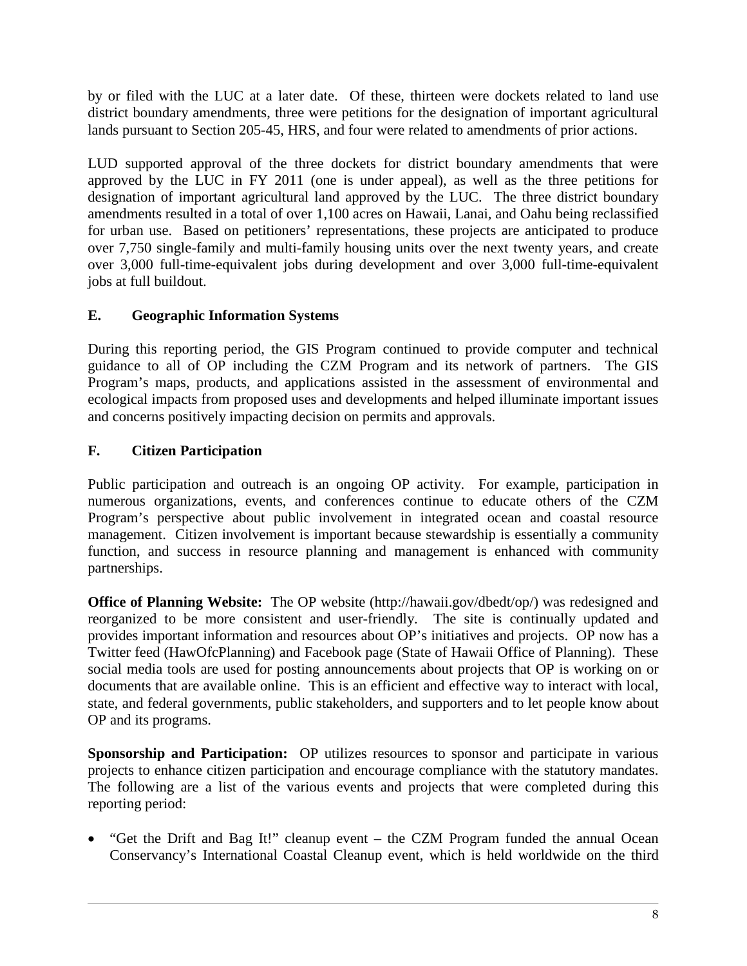by or filed with the LUC at a later date. Of these, thirteen were dockets related to land use district boundary amendments, three were petitions for the designation of important agricultural lands pursuant to Section 205-45, HRS, and four were related to amendments of prior actions.

LUD supported approval of the three dockets for district boundary amendments that were approved by the LUC in FY 2011 (one is under appeal), as well as the three petitions for designation of important agricultural land approved by the LUC. The three district boundary amendments resulted in a total of over 1,100 acres on Hawaii, Lanai, and Oahu being reclassified for urban use. Based on petitioners' representations, these projects are anticipated to produce over 7,750 single-family and multi-family housing units over the next twenty years, and create over 3,000 full-time-equivalent jobs during development and over 3,000 full-time-equivalent jobs at full buildout.

# <span id="page-9-0"></span>**E. Geographic Information Systems**

During this reporting period, the GIS Program continued to provide computer and technical guidance to all of OP including the CZM Program and its network of partners. The GIS Program's maps, products, and applications assisted in the assessment of environmental and ecological impacts from proposed uses and developments and helped illuminate important issues and concerns positively impacting decision on permits and approvals.

# <span id="page-9-1"></span>**F. Citizen Participation**

Public participation and outreach is an ongoing OP activity. For example, participation in numerous organizations, events, and conferences continue to educate others of the CZM Program's perspective about public involvement in integrated ocean and coastal resource management. Citizen involvement is important because stewardship is essentially a community function, and success in resource planning and management is enhanced with community partnerships.

**Office of Planning Website:** The OP website (http://hawaii.gov/dbedt/op/) was redesigned and reorganized to be more consistent and user-friendly. The site is continually updated and provides important information and resources about OP's initiatives and projects. OP now has a Twitter feed (HawOfcPlanning) and Facebook page (State of Hawaii Office of Planning). These social media tools are used for posting announcements about projects that OP is working on or documents that are available online. This is an efficient and effective way to interact with local, state, and federal governments, public stakeholders, and supporters and to let people know about OP and its programs.

**Sponsorship and Participation:** OP utilizes resources to sponsor and participate in various projects to enhance citizen participation and encourage compliance with the statutory mandates. The following are a list of the various events and projects that were completed during this reporting period:

• "Get the Drift and Bag It!" cleanup event – the CZM Program funded the annual Ocean Conservancy's International Coastal Cleanup event, which is held worldwide on the third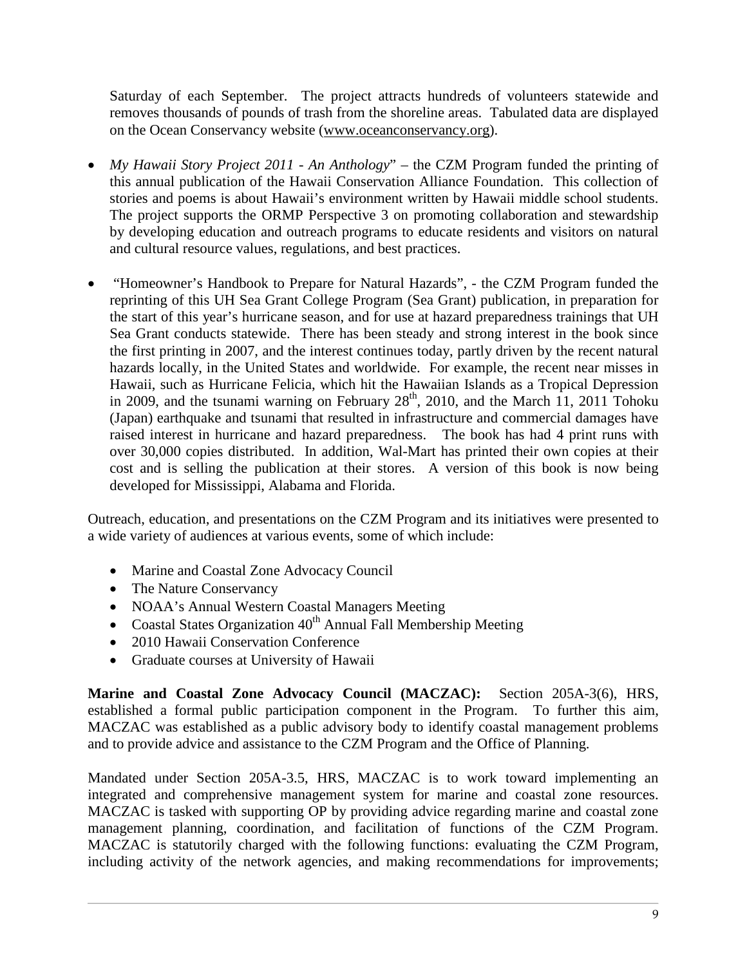Saturday of each September. The project attracts hundreds of volunteers statewide and removes thousands of pounds of trash from the shoreline areas. Tabulated data are displayed on the Ocean Conservancy website [\(www.oceanconservancy.org\)](http://www.oceanconservancy.org/).

- *My Hawaii Story Project 2011 - An Anthology*" the CZM Program funded the printing of this annual publication of the Hawaii Conservation Alliance Foundation. This collection of stories and poems is about Hawaii's environment written by Hawaii middle school students. The project supports the ORMP Perspective 3 on promoting collaboration and stewardship by developing education and outreach programs to educate residents and visitors on natural and cultural resource values, regulations, and best practices.
- "Homeowner's Handbook to Prepare for Natural Hazards", the CZM Program funded the reprinting of this UH Sea Grant College Program (Sea Grant) publication, in preparation for the start of this year's hurricane season, and for use at hazard preparedness trainings that UH Sea Grant conducts statewide. There has been steady and strong interest in the book since the first printing in 2007, and the interest continues today, partly driven by the recent natural hazards locally, in the United States and worldwide. For example, the recent near misses in Hawaii, such as Hurricane Felicia, which hit the Hawaiian Islands as a Tropical Depression in 2009, and the tsunami warning on February  $28<sup>th</sup>$ , 2010, and the March 11, 2011 Tohoku (Japan) earthquake and tsunami that resulted in infrastructure and commercial damages have raised interest in hurricane and hazard preparedness. The book has had 4 print runs with over 30,000 copies distributed. In addition, Wal-Mart has printed their own copies at their cost and is selling the publication at their stores. A version of this book is now being developed for Mississippi, Alabama and Florida.

Outreach, education, and presentations on the CZM Program and its initiatives were presented to a wide variety of audiences at various events, some of which include:

- Marine and Coastal Zone Advocacy Council
- The Nature Conservancy
- NOAA's Annual Western Coastal Managers Meeting
- Coastal States Organization  $40<sup>th</sup>$  Annual Fall Membership Meeting
- 2010 Hawaii Conservation Conference
- Graduate courses at University of Hawaii

**Marine and Coastal Zone Advocacy Council (MACZAC):** Section 205A-3(6), HRS, established a formal public participation component in the Program. To further this aim, MACZAC was established as a public advisory body to identify coastal management problems and to provide advice and assistance to the CZM Program and the Office of Planning.

Mandated under Section 205A-3.5, HRS, MACZAC is to work toward implementing an integrated and comprehensive management system for marine and coastal zone resources. MACZAC is tasked with supporting OP by providing advice regarding marine and coastal zone management planning, coordination, and facilitation of functions of the CZM Program. MACZAC is statutorily charged with the following functions: evaluating the CZM Program, including activity of the network agencies, and making recommendations for improvements;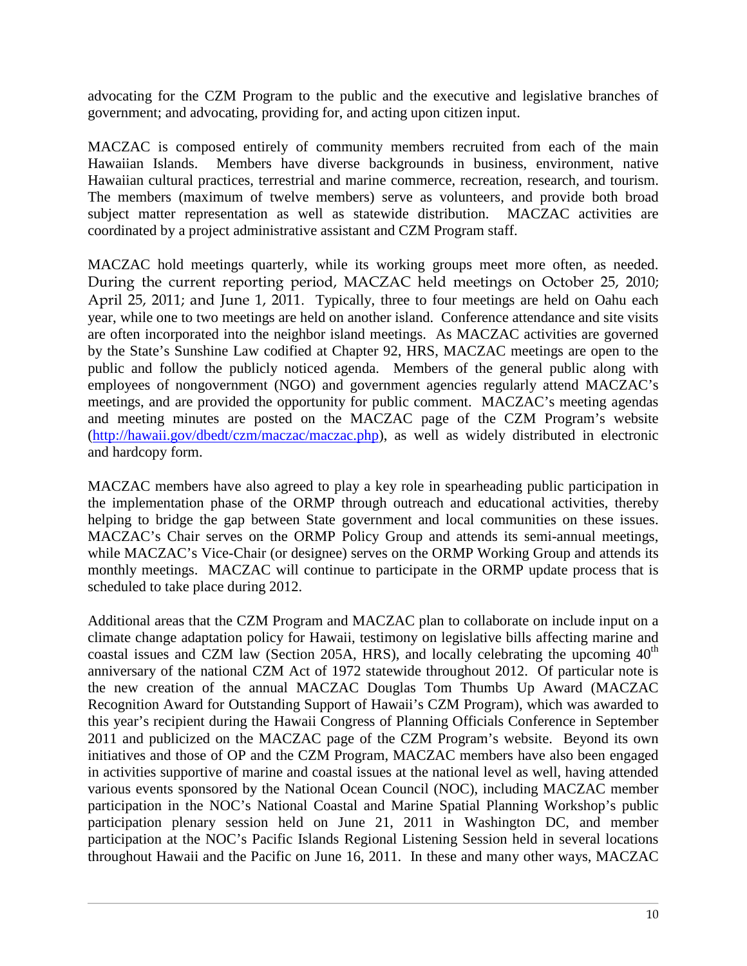advocating for the CZM Program to the public and the executive and legislative branches of government; and advocating, providing for, and acting upon citizen input.

MACZAC is composed entirely of community members recruited from each of the main Hawaiian Islands. Members have diverse backgrounds in business, environment, native Hawaiian cultural practices, terrestrial and marine commerce, recreation, research, and tourism. The members (maximum of twelve members) serve as volunteers, and provide both broad subject matter representation as well as statewide distribution. MACZAC activities are coordinated by a project administrative assistant and CZM Program staff.

MACZAC hold meetings quarterly, while its working groups meet more often, as needed. During the current reporting period, MACZAC held meetings on October 25, 2010; April 25, 2011; and June 1, 2011. Typically, three to four meetings are held on Oahu each year, while one to two meetings are held on another island. Conference attendance and site visits are often incorporated into the neighbor island meetings. As MACZAC activities are governed by the State's Sunshine Law codified at Chapter 92, HRS, MACZAC meetings are open to the public and follow the publicly noticed agenda. Members of the general public along with employees of nongovernment (NGO) and government agencies regularly attend MACZAC's meetings, and are provided the opportunity for public comment. MACZAC's meeting agendas and meeting minutes are posted on the MACZAC page of the CZM Program's website [\(http://hawaii.gov/dbedt/czm/maczac/maczac.php\)](http://hawaii.gov/dbedt/czm/maczac/maczac.php), as well as widely distributed in electronic and hardcopy form.

MACZAC members have also agreed to play a key role in spearheading public participation in the implementation phase of the ORMP through outreach and educational activities, thereby helping to bridge the gap between State government and local communities on these issues. MACZAC's Chair serves on the ORMP Policy Group and attends its semi-annual meetings, while MACZAC's Vice-Chair (or designee) serves on the ORMP Working Group and attends its monthly meetings. MACZAC will continue to participate in the ORMP update process that is scheduled to take place during 2012.

Additional areas that the CZM Program and MACZAC plan to collaborate on include input on a climate change adaptation policy for Hawaii, testimony on legislative bills affecting marine and coastal issues and CZM law (Section 205A, HRS), and locally celebrating the upcoming  $40<sup>th</sup>$ anniversary of the national CZM Act of 1972 statewide throughout 2012. Of particular note is the new creation of the annual MACZAC Douglas Tom Thumbs Up Award (MACZAC Recognition Award for Outstanding Support of Hawaii's CZM Program), which was awarded to this year's recipient during the Hawaii Congress of Planning Officials Conference in September 2011 and publicized on the MACZAC page of the CZM Program's website. Beyond its own initiatives and those of OP and the CZM Program, MACZAC members have also been engaged in activities supportive of marine and coastal issues at the national level as well, having attended various events sponsored by the National Ocean Council (NOC), including MACZAC member participation in the NOC's National Coastal and Marine Spatial Planning Workshop's public participation plenary session held on June 21, 2011 in Washington DC, and member participation at the NOC's Pacific Islands Regional Listening Session held in several locations throughout Hawaii and the Pacific on June 16, 2011. In these and many other ways, MACZAC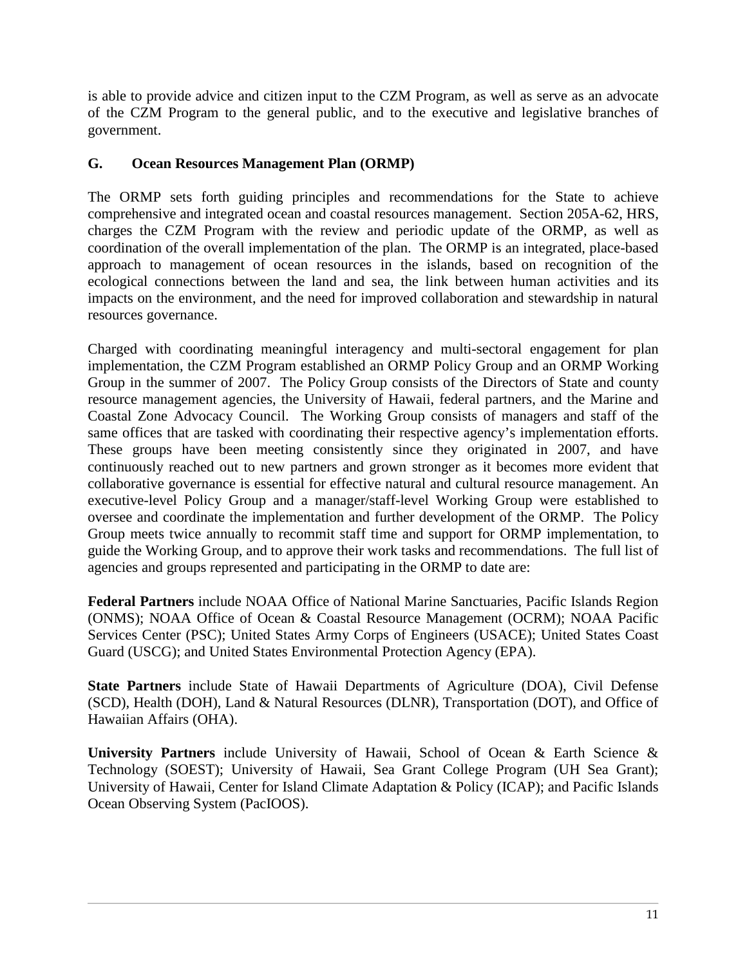is able to provide advice and citizen input to the CZM Program, as well as serve as an advocate of the CZM Program to the general public, and to the executive and legislative branches of government.

## <span id="page-12-0"></span>**G. Ocean Resources Management Plan (ORMP)**

The ORMP sets forth guiding principles and recommendations for the State to achieve comprehensive and integrated ocean and coastal resources management. Section 205A-62, HRS, charges the CZM Program with the review and periodic update of the ORMP, as well as coordination of the overall implementation of the plan. The ORMP is an integrated, place-based approach to management of ocean resources in the islands, based on recognition of the ecological connections between the land and sea, the link between human activities and its impacts on the environment, and the need for improved collaboration and stewardship in natural resources governance.

Charged with coordinating meaningful interagency and multi-sectoral engagement for plan implementation, the CZM Program established an ORMP Policy Group and an ORMP Working Group in the summer of 2007. The Policy Group consists of the Directors of State and county resource management agencies, the University of Hawaii, federal partners, and the Marine and Coastal Zone Advocacy Council. The Working Group consists of managers and staff of the same offices that are tasked with coordinating their respective agency's implementation efforts. These groups have been meeting consistently since they originated in 2007, and have continuously reached out to new partners and grown stronger as it becomes more evident that collaborative governance is essential for effective natural and cultural resource management. An executive-level Policy Group and a manager/staff-level Working Group were established to oversee and coordinate the implementation and further development of the ORMP. The Policy Group meets twice annually to recommit staff time and support for ORMP implementation, to guide the Working Group, and to approve their work tasks and recommendations. The full list of agencies and groups represented and participating in the ORMP to date are:

**Federal Partners** include NOAA Office of National Marine Sanctuaries, Pacific Islands Region (ONMS); NOAA Office of Ocean & Coastal Resource Management (OCRM); NOAA Pacific Services Center (PSC); United States Army Corps of Engineers (USACE); United States Coast Guard (USCG); and United States Environmental Protection Agency (EPA).

**State Partners** include State of Hawaii Departments of Agriculture (DOA), Civil Defense (SCD), Health (DOH), Land & Natural Resources (DLNR), Transportation (DOT), and Office of Hawaiian Affairs (OHA).

**University Partners** include University of Hawaii, School of Ocean & Earth Science & Technology (SOEST); University of Hawaii, Sea Grant College Program (UH Sea Grant); University of Hawaii, Center for Island Climate Adaptation & Policy (ICAP); and Pacific Islands Ocean Observing System (PacIOOS).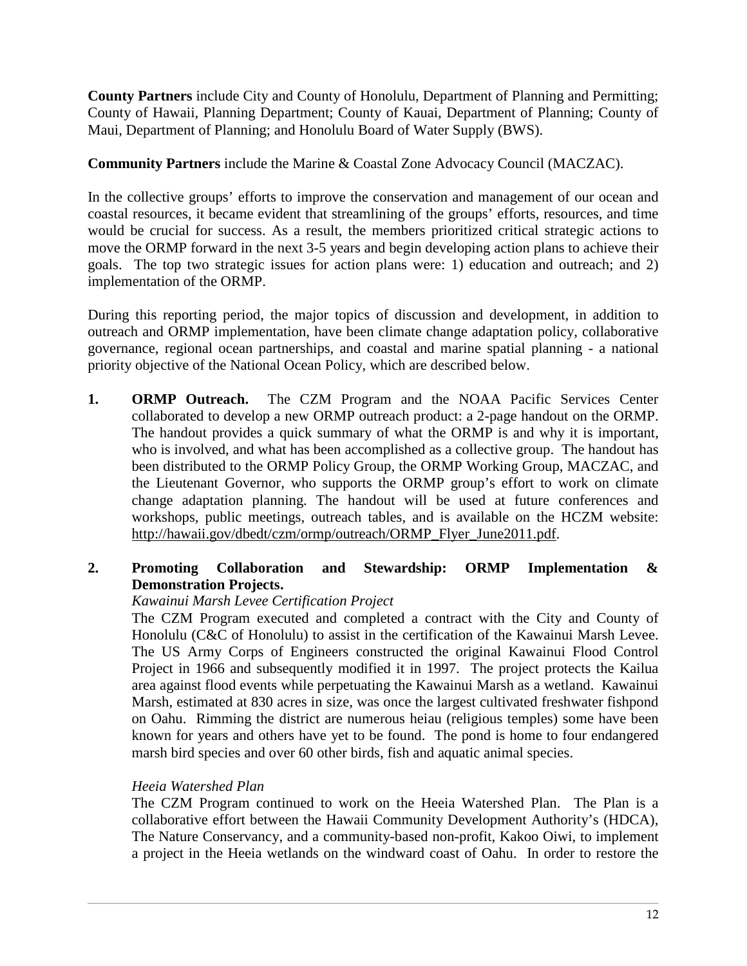**County Partners** include City and County of Honolulu, Department of Planning and Permitting; County of Hawaii, Planning Department; County of Kauai, Department of Planning; County of Maui, Department of Planning; and Honolulu Board of Water Supply (BWS).

**Community Partners** include the Marine & Coastal Zone Advocacy Council (MACZAC).

In the collective groups' efforts to improve the conservation and management of our ocean and coastal resources, it became evident that streamlining of the groups' efforts, resources, and time would be crucial for success. As a result, the members prioritized critical strategic actions to move the ORMP forward in the next 3-5 years and begin developing action plans to achieve their goals. The top two strategic issues for action plans were: 1) education and outreach; and 2) implementation of the ORMP.

During this reporting period, the major topics of discussion and development, in addition to outreach and ORMP implementation, have been climate change adaptation policy, collaborative governance, regional ocean partnerships, and coastal and marine spatial planning - a national priority objective of the National Ocean Policy, which are described below.

**1. ORMP Outreach.** The CZM Program and the NOAA Pacific Services Center collaborated to develop a new ORMP outreach product: a 2-page handout on the ORMP. The handout provides a quick summary of what the ORMP is and why it is important, who is involved, and what has been accomplished as a collective group. The handout has been distributed to the ORMP Policy Group, the ORMP Working Group, MACZAC, and the Lieutenant Governor, who supports the ORMP group's effort to work on climate change adaptation planning. The handout will be used at future conferences and workshops, public meetings, outreach tables, and is available on the HCZM website: [http://hawaii.gov/dbedt/czm/ormp/outreach/ORMP\\_Flyer\\_June2011.pdf.](http://hawaii.gov/dbedt/czm/ormp/outreach/ORMP_Flyer_June2011.pdf)

# **2. Promoting Collaboration and Stewardship: ORMP Implementation & Demonstration Projects.**

# *Kawainui Marsh Levee Certification Project*

The CZM Program executed and completed a contract with the City and County of Honolulu (C&C of Honolulu) to assist in the certification of the Kawainui Marsh Levee. The US Army Corps of Engineers constructed the original Kawainui Flood Control Project in 1966 and subsequently modified it in 1997. The project protects the Kailua area against flood events while perpetuating the Kawainui Marsh as a wetland. Kawainui Marsh, estimated at 830 acres in size, was once the largest cultivated freshwater fishpond on Oahu. Rimming the district are numerous heiau (religious temples) some have been known for years and others have yet to be found. The pond is home to four endangered marsh bird species and over 60 other birds, fish and aquatic animal species.

# *Heeia Watershed Plan*

The CZM Program continued to work on the Heeia Watershed Plan. The Plan is a collaborative effort between the Hawaii Community Development Authority's (HDCA), The Nature Conservancy, and a community-based non-profit, Kakoo Oiwi, to implement a project in the Heeia wetlands on the windward coast of Oahu. In order to restore the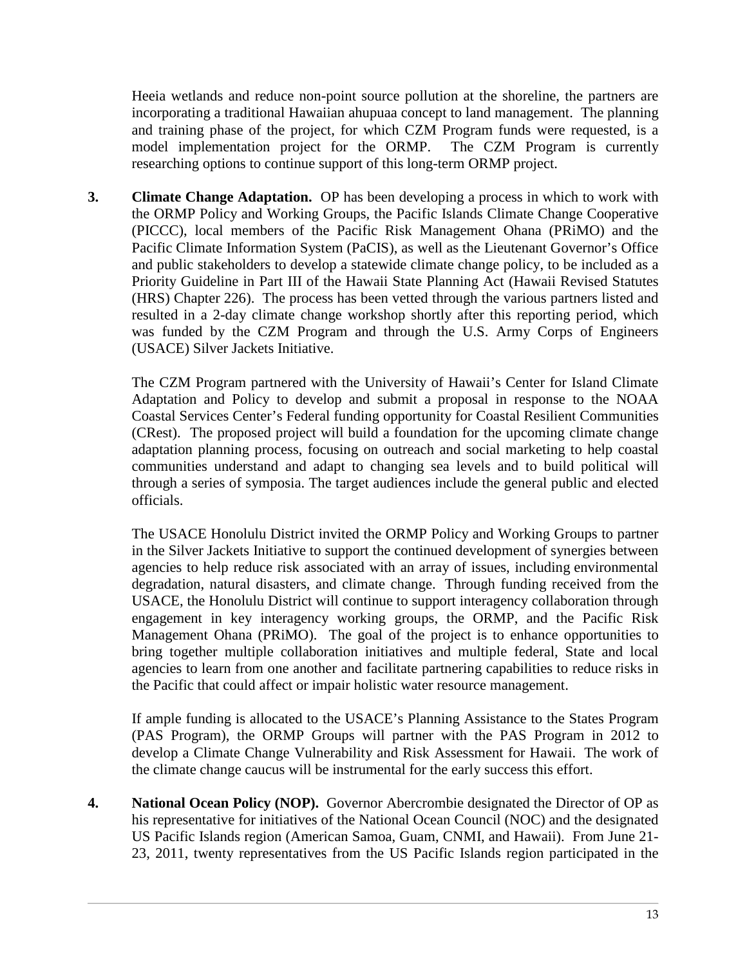Heeia wetlands and reduce non-point source pollution at the shoreline, the partners are incorporating a traditional Hawaiian ahupuaa concept to land management. The planning and training phase of the project, for which CZM Program funds were requested, is a model implementation project for the ORMP. The CZM Program is currently researching options to continue support of this long-term ORMP project.

**3. Climate Change Adaptation.** OP has been developing a process in which to work with the ORMP Policy and Working Groups, the Pacific Islands Climate Change Cooperative (PICCC), local members of the Pacific Risk Management Ohana (PRiMO) and the Pacific Climate Information System (PaCIS), as well as the Lieutenant Governor's Office and public stakeholders to develop a statewide climate change policy, to be included as a Priority Guideline in Part III of the Hawaii State Planning Act (Hawaii Revised Statutes (HRS) Chapter 226). The process has been vetted through the various partners listed and resulted in a 2-day climate change workshop shortly after this reporting period, which was funded by the CZM Program and through the U.S. Army Corps of Engineers (USACE) Silver Jackets Initiative.

The CZM Program partnered with the University of Hawaii's Center for Island Climate Adaptation and Policy to develop and submit a proposal in response to the NOAA Coastal Services Center's Federal funding opportunity for Coastal Resilient Communities (CRest). The proposed project will build a foundation for the upcoming climate change adaptation planning process, focusing on outreach and social marketing to help coastal communities understand and adapt to changing sea levels and to build political will through a series of symposia. The target audiences include the general public and elected officials.

The USACE Honolulu District invited the ORMP Policy and Working Groups to partner in the Silver Jackets Initiative to support the continued development of synergies between agencies to help reduce risk associated with an array of issues, including environmental degradation, natural disasters, and climate change. Through funding received from the USACE, the Honolulu District will continue to support interagency collaboration through engagement in key interagency working groups, the ORMP, and the Pacific Risk Management Ohana (PRiMO). The goal of the project is to enhance opportunities to bring together multiple collaboration initiatives and multiple federal, State and local agencies to learn from one another and facilitate partnering capabilities to reduce risks in the Pacific that could affect or impair holistic water resource management.

If ample funding is allocated to the USACE's Planning Assistance to the States Program (PAS Program), the ORMP Groups will partner with the PAS Program in 2012 to develop a Climate Change Vulnerability and Risk Assessment for Hawaii. The work of the climate change caucus will be instrumental for the early success this effort.

**4. National Ocean Policy (NOP).** Governor Abercrombie designated the Director of OP as his representative for initiatives of the National Ocean Council (NOC) and the designated US Pacific Islands region (American Samoa, Guam, CNMI, and Hawaii). From June 21- 23, 2011, twenty representatives from the US Pacific Islands region participated in the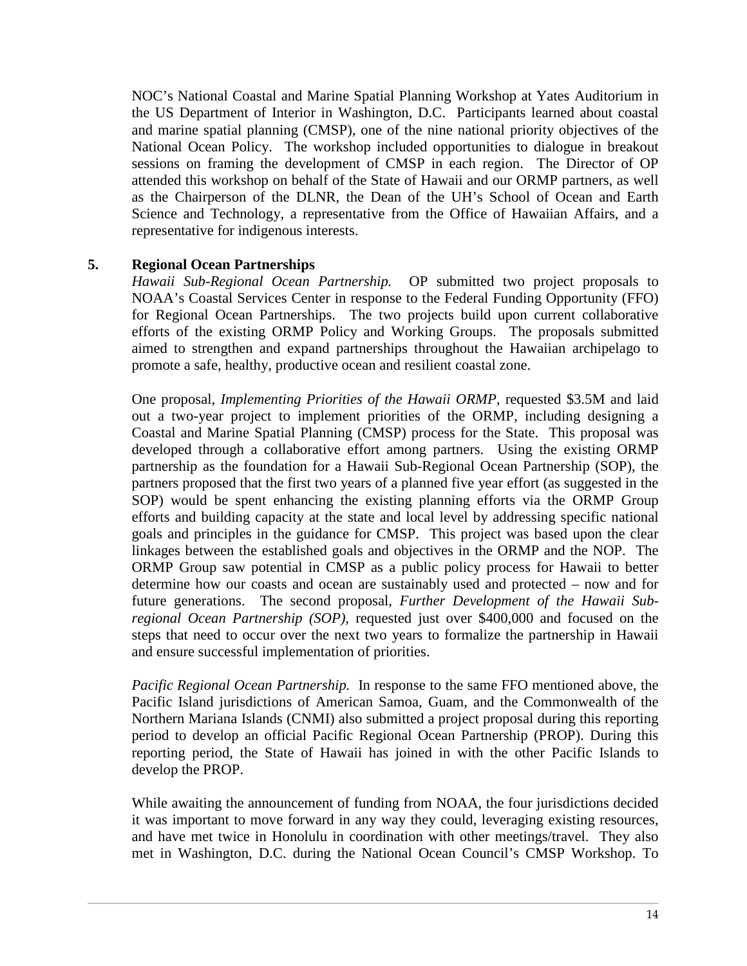NOC's National Coastal and Marine Spatial Planning Workshop at Yates Auditorium in the US Department of Interior in Washington, D.C. Participants learned about coastal and marine spatial planning (CMSP), one of the nine national priority objectives of the National Ocean Policy. The workshop included opportunities to dialogue in breakout sessions on framing the development of CMSP in each region. The Director of OP attended this workshop on behalf of the State of Hawaii and our ORMP partners, as well as the Chairperson of the DLNR, the Dean of the UH's School of Ocean and Earth Science and Technology, a representative from the Office of Hawaiian Affairs, and a representative for indigenous interests.

### **5. Regional Ocean Partnerships**

*Hawaii Sub-Regional Ocean Partnership.* OP submitted two project proposals to NOAA's Coastal Services Center in response to the Federal Funding Opportunity (FFO) for Regional Ocean Partnerships. The two projects build upon current collaborative efforts of the existing ORMP Policy and Working Groups. The proposals submitted aimed to strengthen and expand partnerships throughout the Hawaiian archipelago to promote a safe, healthy, productive ocean and resilient coastal zone.

One proposal, *Implementing Priorities of the Hawaii ORMP,* requested \$3.5M and laid out a two-year project to implement priorities of the ORMP, including designing a Coastal and Marine Spatial Planning (CMSP) process for the State. This proposal was developed through a collaborative effort among partners. Using the existing ORMP partnership as the foundation for a Hawaii Sub-Regional Ocean Partnership (SOP), the partners proposed that the first two years of a planned five year effort (as suggested in the SOP) would be spent enhancing the existing planning efforts via the ORMP Group efforts and building capacity at the state and local level by addressing specific national goals and principles in the guidance for CMSP. This project was based upon the clear linkages between the established goals and objectives in the ORMP and the NOP. The ORMP Group saw potential in CMSP as a public policy process for Hawaii to better determine how our coasts and ocean are sustainably used and protected – now and for future generations. The second proposal, *Further Development of the Hawaii Subregional Ocean Partnership (SOP),* requested just over \$400,000 and focused on the steps that need to occur over the next two years to formalize the partnership in Hawaii and ensure successful implementation of priorities.

*Pacific Regional Ocean Partnership.* In response to the same FFO mentioned above, the Pacific Island jurisdictions of American Samoa, Guam, and the Commonwealth of the Northern Mariana Islands (CNMI) also submitted a project proposal during this reporting period to develop an official Pacific Regional Ocean Partnership (PROP). During this reporting period, the State of Hawaii has joined in with the other Pacific Islands to develop the PROP.

While awaiting the announcement of funding from NOAA, the four jurisdictions decided it was important to move forward in any way they could, leveraging existing resources, and have met twice in Honolulu in coordination with other meetings/travel. They also met in Washington, D.C. during the National Ocean Council's CMSP Workshop. To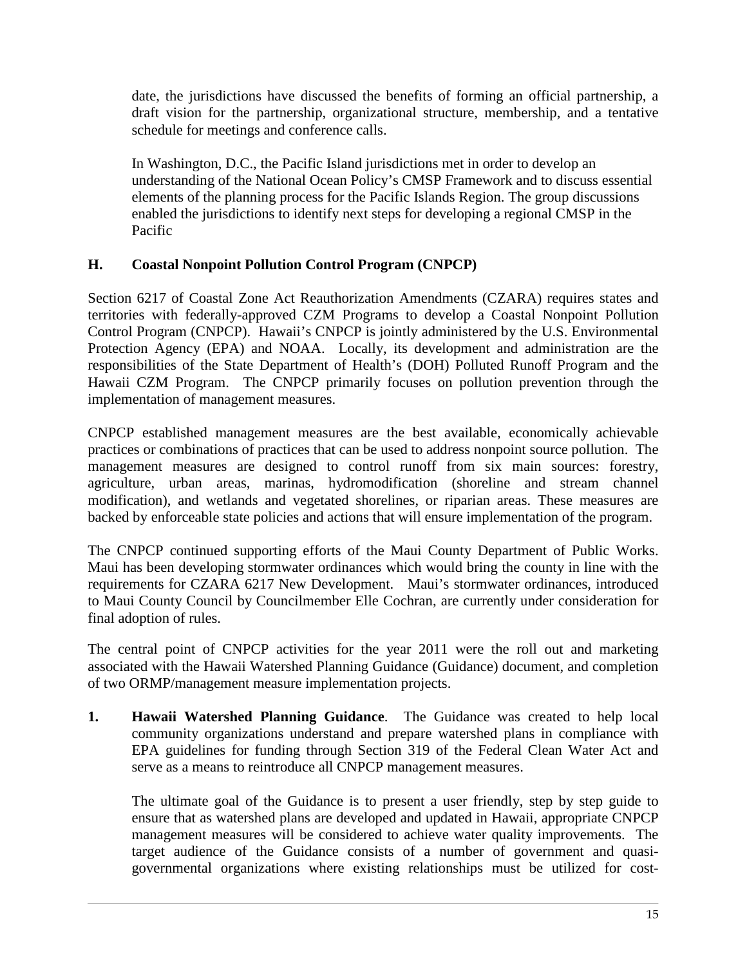date, the jurisdictions have discussed the benefits of forming an official partnership, a draft vision for the partnership, organizational structure, membership, and a tentative schedule for meetings and conference calls.

In Washington, D.C., the Pacific Island jurisdictions met in order to develop an understanding of the National Ocean Policy's CMSP Framework and to discuss essential elements of the planning process for the Pacific Islands Region. The group discussions enabled the jurisdictions to identify next steps for developing a regional CMSP in the Pacific

# <span id="page-16-0"></span>**H. Coastal Nonpoint Pollution Control Program (CNPCP)**

Section 6217 of Coastal Zone Act Reauthorization Amendments (CZARA) requires states and territories with federally-approved CZM Programs to develop a Coastal Nonpoint Pollution Control Program (CNPCP). Hawaii's CNPCP is jointly administered by the U.S. Environmental Protection Agency (EPA) and NOAA. Locally, its development and administration are the responsibilities of the State Department of Health's (DOH) Polluted Runoff Program and the Hawaii CZM Program. The CNPCP primarily focuses on pollution prevention through the implementation of management measures.

CNPCP established management measures are the best available, economically achievable practices or combinations of practices that can be used to address nonpoint source pollution. The management measures are designed to control runoff from six main sources: forestry, agriculture, urban areas, marinas, hydromodification (shoreline and stream channel modification), and wetlands and vegetated shorelines, or riparian areas. These measures are backed by enforceable state policies and actions that will ensure implementation of the program.

The CNPCP continued supporting efforts of the Maui County Department of Public Works. Maui has been developing stormwater ordinances which would bring the county in line with the requirements for CZARA 6217 New Development. Maui's stormwater ordinances, introduced to Maui County Council by Councilmember Elle Cochran, are currently under consideration for final adoption of rules.

The central point of CNPCP activities for the year 2011 were the roll out and marketing associated with the Hawaii Watershed Planning Guidance (Guidance) document, and completion of two ORMP/management measure implementation projects.

**1. Hawaii Watershed Planning Guidance**. The Guidance was created to help local community organizations understand and prepare watershed plans in compliance with EPA guidelines for funding through Section 319 of the Federal Clean Water Act and serve as a means to reintroduce all CNPCP management measures.

The ultimate goal of the Guidance is to present a user friendly, step by step guide to ensure that as watershed plans are developed and updated in Hawaii, appropriate CNPCP management measures will be considered to achieve water quality improvements. The target audience of the Guidance consists of a number of government and quasigovernmental organizations where existing relationships must be utilized for cost-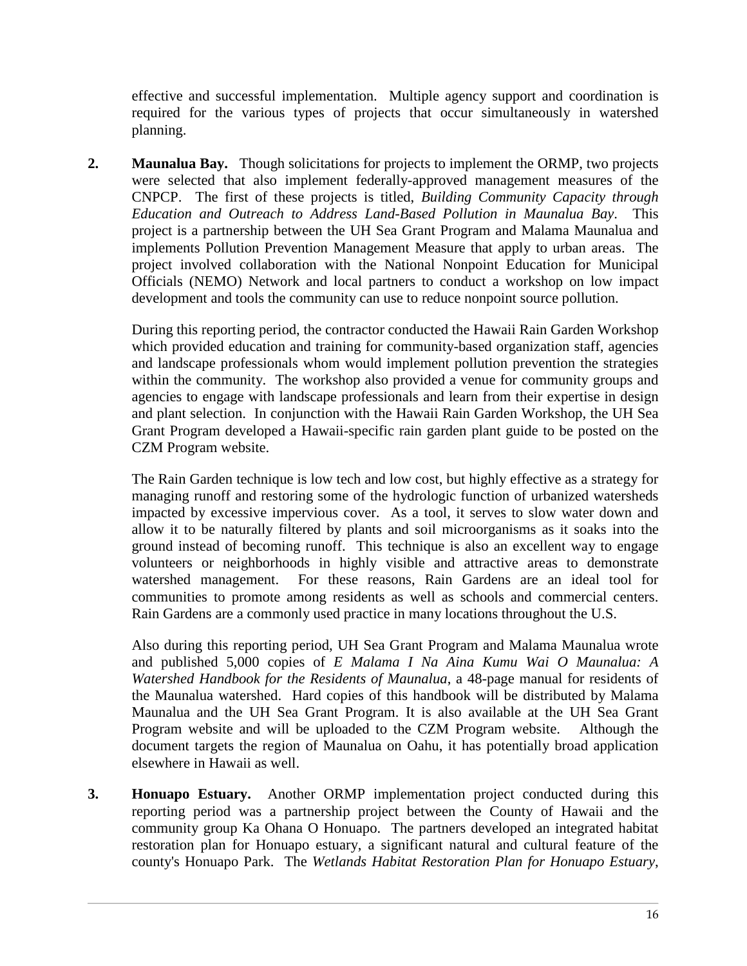effective and successful implementation. Multiple agency support and coordination is required for the various types of projects that occur simultaneously in watershed planning.

**2. Maunalua Bay.** Though solicitations for projects to implement the ORMP, two projects were selected that also implement federally-approved management measures of the CNPCP. The first of these projects is titled, *Building Community Capacity through Education and Outreach to Address Land-Based Pollution in Maunalua Bay*. This project is a partnership between the UH Sea Grant Program and Malama Maunalua and implements Pollution Prevention Management Measure that apply to urban areas. The project involved collaboration with the National Nonpoint Education for Municipal Officials (NEMO) Network and local partners to conduct a workshop on low impact development and tools the community can use to reduce nonpoint source pollution.

During this reporting period, the contractor conducted the Hawaii Rain Garden Workshop which provided education and training for community-based organization staff, agencies and landscape professionals whom would implement pollution prevention the strategies within the community. The workshop also provided a venue for community groups and agencies to engage with landscape professionals and learn from their expertise in design and plant selection. In conjunction with the Hawaii Rain Garden Workshop, the UH Sea Grant Program developed a Hawaii-specific rain garden plant guide to be posted on the CZM Program website.

The Rain Garden technique is low tech and low cost, but highly effective as a strategy for managing runoff and restoring some of the hydrologic function of urbanized watersheds impacted by excessive impervious cover. As a tool, it serves to slow water down and allow it to be naturally filtered by plants and soil microorganisms as it soaks into the ground instead of becoming runoff. This technique is also an excellent way to engage volunteers or neighborhoods in highly visible and attractive areas to demonstrate watershed management. For these reasons, Rain Gardens are an ideal tool for communities to promote among residents as well as schools and commercial centers. Rain Gardens are a commonly used practice in many locations throughout the U.S.

Also during this reporting period, UH Sea Grant Program and Malama Maunalua wrote and published 5,000 copies of *E Malama I Na Aina Kumu Wai O Maunalua: A Watershed Handbook for the Residents of Maunalua*, a 48-page manual for residents of the Maunalua watershed. Hard copies of this handbook will be distributed by Malama Maunalua and the UH Sea Grant Program. It is also available at the UH Sea Grant Program website and will be uploaded to the CZM Program website. Although the document targets the region of Maunalua on Oahu, it has potentially broad application elsewhere in Hawaii as well.

**3. Honuapo Estuary.** Another ORMP implementation project conducted during this reporting period was a partnership project between the County of Hawaii and the community group Ka Ohana O Honuapo. The partners developed an integrated habitat restoration plan for Honuapo estuary, a significant natural and cultural feature of the county's Honuapo Park. The *Wetlands Habitat Restoration Plan for Honuapo Estuary*,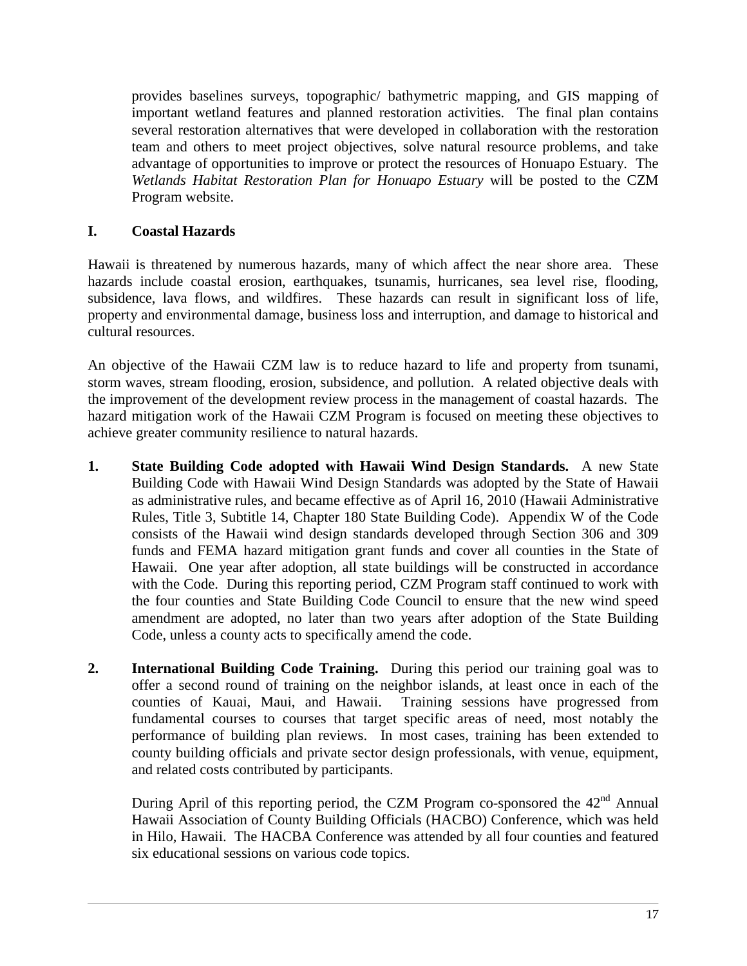provides baselines surveys, topographic/ bathymetric mapping, and GIS mapping of important wetland features and planned restoration activities. The final plan contains several restoration alternatives that were developed in collaboration with the restoration team and others to meet project objectives, solve natural resource problems, and take advantage of opportunities to improve or protect the resources of Honuapo Estuary. The *Wetlands Habitat Restoration Plan for Honuapo Estuary* will be posted to the CZM Program website.

# <span id="page-18-0"></span>**I. Coastal Hazards**

Hawaii is threatened by numerous hazards, many of which affect the near shore area. These hazards include coastal erosion, earthquakes, tsunamis, hurricanes, sea level rise, flooding, subsidence, lava flows, and wildfires. These hazards can result in significant loss of life, property and environmental damage, business loss and interruption, and damage to historical and cultural resources.

An objective of the Hawaii CZM law is to reduce hazard to life and property from tsunami, storm waves, stream flooding, erosion, subsidence, and pollution. A related objective deals with the improvement of the development review process in the management of coastal hazards. The hazard mitigation work of the Hawaii CZM Program is focused on meeting these objectives to achieve greater community resilience to natural hazards.

- **1. State Building Code adopted with Hawaii Wind Design Standards.** A new State Building Code with Hawaii Wind Design Standards was adopted by the State of Hawaii as administrative rules, and became effective as of April 16, 2010 (Hawaii Administrative Rules, Title 3, Subtitle 14, Chapter 180 State Building Code). Appendix W of the Code consists of the Hawaii wind design standards developed through Section 306 and 309 funds and FEMA hazard mitigation grant funds and cover all counties in the State of Hawaii. One year after adoption, all state buildings will be constructed in accordance with the Code. During this reporting period, CZM Program staff continued to work with the four counties and State Building Code Council to ensure that the new wind speed amendment are adopted, no later than two years after adoption of the State Building Code, unless a county acts to specifically amend the code.
- **2. International Building Code Training.** During this period our training goal was to offer a second round of training on the neighbor islands, at least once in each of the counties of Kauai, Maui, and Hawaii. Training sessions have progressed from fundamental courses to courses that target specific areas of need, most notably the performance of building plan reviews. In most cases, training has been extended to county building officials and private sector design professionals, with venue, equipment, and related costs contributed by participants.

During April of this reporting period, the CZM Program co-sponsored the 42<sup>nd</sup> Annual Hawaii Association of County Building Officials (HACBO) Conference, which was held in Hilo, Hawaii. The HACBA Conference was attended by all four counties and featured six educational sessions on various code topics.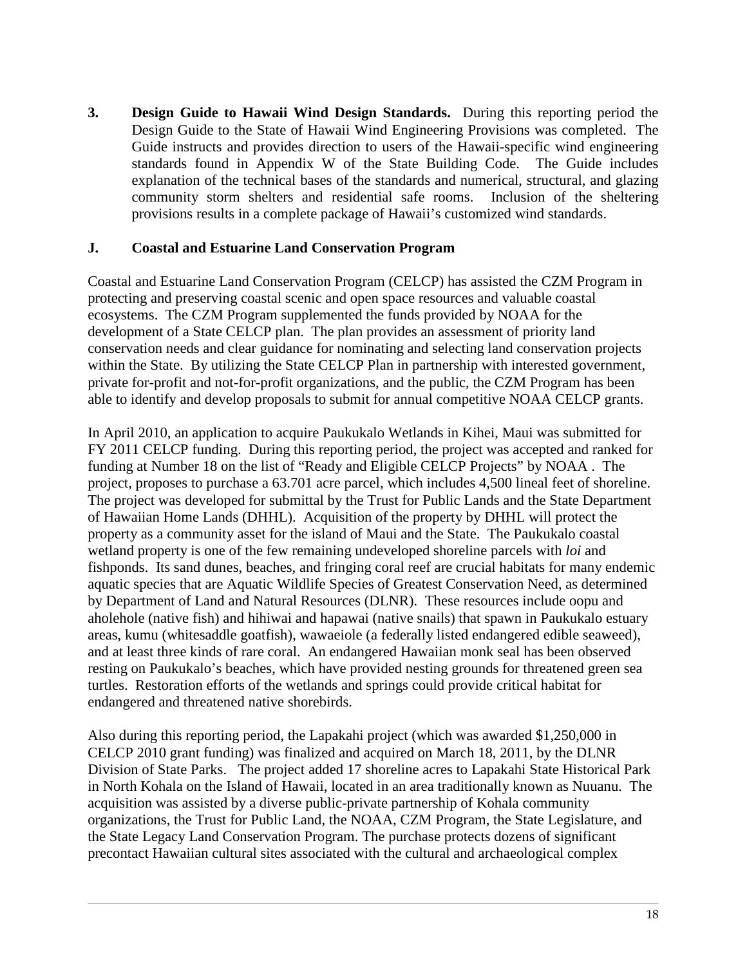**3. Design Guide to Hawaii Wind Design Standards.** During this reporting period the Design Guide to the State of Hawaii Wind Engineering Provisions was completed. The Guide instructs and provides direction to users of the Hawaii-specific wind engineering standards found in Appendix W of the State Building Code. The Guide includes explanation of the technical bases of the standards and numerical, structural, and glazing community storm shelters and residential safe rooms. Inclusion of the sheltering provisions results in a complete package of Hawaii's customized wind standards.

#### <span id="page-19-0"></span>**J. Coastal and Estuarine Land Conservation Program**

Coastal and Estuarine Land Conservation Program (CELCP) has assisted the CZM Program in protecting and preserving coastal scenic and open space resources and valuable coastal ecosystems. The CZM Program supplemented the funds provided by NOAA for the development of a State CELCP plan. The plan provides an assessment of priority land conservation needs and clear guidance for nominating and selecting land conservation projects within the State. By utilizing the State CELCP Plan in partnership with interested government, private for-profit and not-for-profit organizations, and the public, the CZM Program has been able to identify and develop proposals to submit for annual competitive NOAA CELCP grants.

In April 2010, an application to acquire Paukukalo Wetlands in Kihei, Maui was submitted for FY 2011 CELCP funding. During this reporting period, the project was accepted and ranked for funding at Number 18 on the list of "Ready and Eligible CELCP Projects" by NOAA . The project, proposes to purchase a 63.701 acre parcel, which includes 4,500 lineal feet of shoreline. The project was developed for submittal by the Trust for Public Lands and the State Department of Hawaiian Home Lands (DHHL). Acquisition of the property by DHHL will protect the property as a community asset for the island of Maui and the State. The Paukukalo coastal wetland property is one of the few remaining undeveloped shoreline parcels with *loi* and fishponds. Its sand dunes, beaches, and fringing coral reef are crucial habitats for many endemic aquatic species that are Aquatic Wildlife Species of Greatest Conservation Need, as determined by Department of Land and Natural Resources (DLNR). These resources include oopu and aholehole (native fish) and hihiwai and hapawai (native snails) that spawn in Paukukalo estuary areas, kumu (whitesaddle goatfish), wawaeiole (a federally listed endangered edible seaweed), and at least three kinds of rare coral. An endangered Hawaiian monk seal has been observed resting on Paukukalo's beaches, which have provided nesting grounds for threatened green sea turtles. Restoration efforts of the wetlands and springs could provide critical habitat for endangered and threatened native shorebirds.

Also during this reporting period, the Lapakahi project (which was awarded \$1,250,000 in CELCP 2010 grant funding) was finalized and acquired on March 18, 2011, by the DLNR Division of State Parks. The project added 17 shoreline acres to Lapakahi State Historical Park in North Kohala on the Island of Hawaii, located in an area traditionally known as Nuuanu. The acquisition was assisted by a diverse public-private partnership of Kohala community organizations, the Trust for Public Land, the NOAA, CZM Program, the State Legislature, and the State Legacy Land Conservation Program. The purchase protects dozens of significant precontact Hawaiian cultural sites associated with the cultural and archaeological complex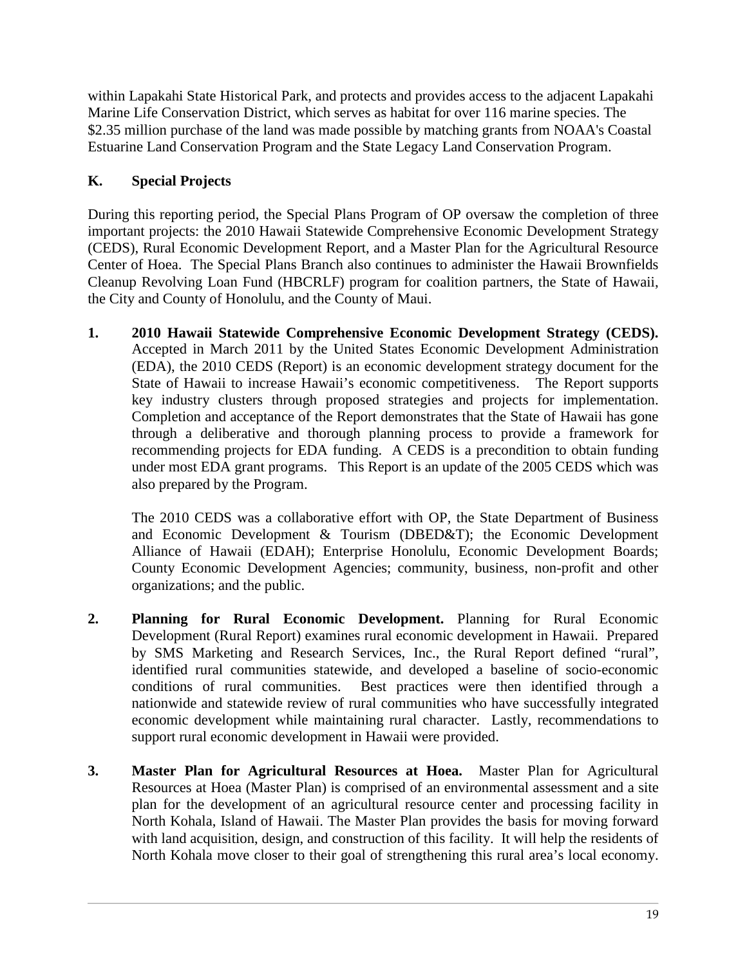within Lapakahi State Historical Park, and protects and provides access to the adjacent Lapakahi Marine Life Conservation District, which serves as habitat for over 116 marine species. The \$2.35 million purchase of the land was made possible by matching grants from NOAA's Coastal Estuarine Land Conservation Program and the State Legacy Land Conservation Program.

# <span id="page-20-0"></span>**K. Special Projects**

During this reporting period, the Special Plans Program of OP oversaw the completion of three important projects: the 2010 Hawaii Statewide Comprehensive Economic Development Strategy (CEDS), Rural Economic Development Report, and a Master Plan for the Agricultural Resource Center of Hoea. The Special Plans Branch also continues to administer the Hawaii Brownfields Cleanup Revolving Loan Fund (HBCRLF) program for coalition partners, the State of Hawaii, the City and County of Honolulu, and the County of Maui.

**1. 2010 Hawaii Statewide Comprehensive Economic Development Strategy (CEDS).**  Accepted in March 2011 by the United States Economic Development Administration (EDA), the 2010 CEDS (Report) is an economic development strategy document for the State of Hawaii to increase Hawaii's economic competitiveness. The Report supports key industry clusters through proposed strategies and projects for implementation. Completion and acceptance of the Report demonstrates that the State of Hawaii has gone through a deliberative and thorough planning process to provide a framework for recommending projects for EDA funding. A CEDS is a precondition to obtain funding under most EDA grant programs. This Report is an update of the 2005 CEDS which was also prepared by the Program.

The 2010 CEDS was a collaborative effort with OP, the State Department of Business and Economic Development & Tourism (DBED&T); the Economic Development Alliance of Hawaii (EDAH); Enterprise Honolulu, Economic Development Boards; County Economic Development Agencies; community, business, non-profit and other organizations; and the public.

- **2. Planning for Rural Economic Development.** Planning for Rural Economic Development (Rural Report) examines rural economic development in Hawaii. Prepared by SMS Marketing and Research Services, Inc., the Rural Report defined "rural", identified rural communities statewide, and developed a baseline of socio-economic conditions of rural communities. Best practices were then identified through a nationwide and statewide review of rural communities who have successfully integrated economic development while maintaining rural character. Lastly, recommendations to support rural economic development in Hawaii were provided.
- **3. Master Plan for Agricultural Resources at Hoea.** Master Plan for Agricultural Resources at Hoea (Master Plan) is comprised of an environmental assessment and a site plan for the development of an agricultural resource center and processing facility in North Kohala, Island of Hawaii. The Master Plan provides the basis for moving forward with land acquisition, design, and construction of this facility. It will help the residents of North Kohala move closer to their goal of strengthening this rural area's local economy.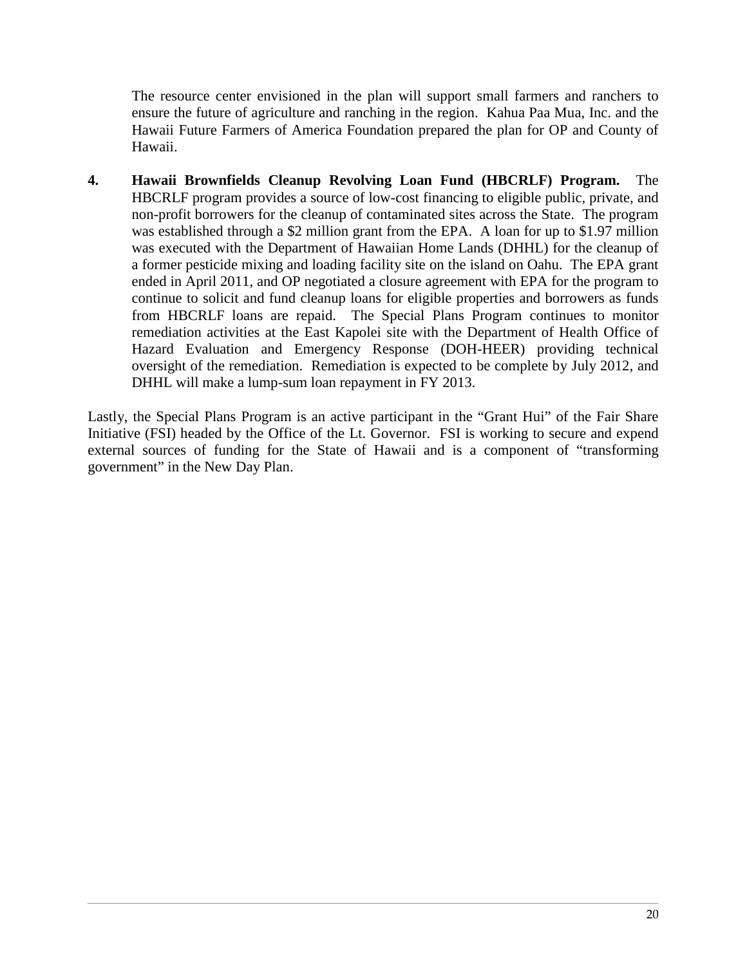The resource center envisioned in the plan will support small farmers and ranchers to ensure the future of agriculture and ranching in the region. Kahua Paa Mua, Inc. and the Hawaii Future Farmers of America Foundation prepared the plan for OP and County of Hawaii.

**4. Hawaii Brownfields Cleanup Revolving Loan Fund (HBCRLF) Program.** The HBCRLF program provides a source of low-cost financing to eligible public, private, and non-profit borrowers for the cleanup of contaminated sites across the State. The program was established through a \$2 million grant from the EPA. A loan for up to \$1.97 million was executed with the Department of Hawaiian Home Lands (DHHL) for the cleanup of a former pesticide mixing and loading facility site on the island on Oahu. The EPA grant ended in April 2011, and OP negotiated a closure agreement with EPA for the program to continue to solicit and fund cleanup loans for eligible properties and borrowers as funds from HBCRLF loans are repaid. The Special Plans Program continues to monitor remediation activities at the East Kapolei site with the Department of Health Office of Hazard Evaluation and Emergency Response (DOH-HEER) providing technical oversight of the remediation. Remediation is expected to be complete by July 2012, and DHHL will make a lump-sum loan repayment in FY 2013.

Lastly, the Special Plans Program is an active participant in the "Grant Hui" of the Fair Share Initiative (FSI) headed by the Office of the Lt. Governor. FSI is working to secure and expend external sources of funding for the State of Hawaii and is a component of "transforming government" in the New Day Plan.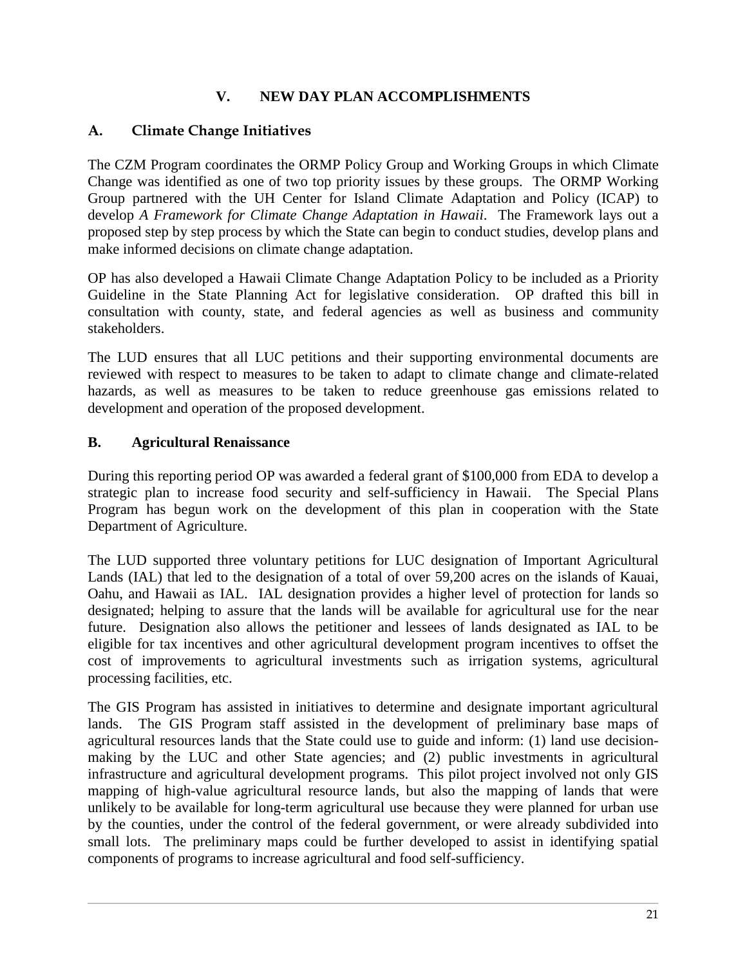## **V. NEW DAY PLAN ACCOMPLISHMENTS**

## <span id="page-22-1"></span><span id="page-22-0"></span>**A. Climate Change Initiatives**

The CZM Program coordinates the ORMP Policy Group and Working Groups in which Climate Change was identified as one of two top priority issues by these groups. The ORMP Working Group partnered with the UH Center for Island Climate Adaptation and Policy (ICAP) to develop *A Framework for Climate Change Adaptation in Hawaii*. The Framework lays out a proposed step by step process by which the State can begin to conduct studies, develop plans and make informed decisions on climate change adaptation.

OP has also developed a Hawaii Climate Change Adaptation Policy to be included as a Priority Guideline in the State Planning Act for legislative consideration. OP drafted this bill in consultation with county, state, and federal agencies as well as business and community stakeholders.

The LUD ensures that all LUC petitions and their supporting environmental documents are reviewed with respect to measures to be taken to adapt to climate change and climate-related hazards, as well as measures to be taken to reduce greenhouse gas emissions related to development and operation of the proposed development.

### <span id="page-22-2"></span>**B. Agricultural Renaissance**

During this reporting period OP was awarded a federal grant of \$100,000 from EDA to develop a strategic plan to increase food security and self-sufficiency in Hawaii. The Special Plans Program has begun work on the development of this plan in cooperation with the State Department of Agriculture.

The LUD supported three voluntary petitions for LUC designation of Important Agricultural Lands (IAL) that led to the designation of a total of over 59,200 acres on the islands of Kauai, Oahu, and Hawaii as IAL. IAL designation provides a higher level of protection for lands so designated; helping to assure that the lands will be available for agricultural use for the near future. Designation also allows the petitioner and lessees of lands designated as IAL to be eligible for tax incentives and other agricultural development program incentives to offset the cost of improvements to agricultural investments such as irrigation systems, agricultural processing facilities, etc.

The GIS Program has assisted in initiatives to determine and designate important agricultural lands. The GIS Program staff assisted in the development of preliminary base maps of agricultural resources lands that the State could use to guide and inform: (1) land use decisionmaking by the LUC and other State agencies; and (2) public investments in agricultural infrastructure and agricultural development programs. This pilot project involved not only GIS mapping of high-value agricultural resource lands, but also the mapping of lands that were unlikely to be available for long-term agricultural use because they were planned for urban use by the counties, under the control of the federal government, or were already subdivided into small lots. The preliminary maps could be further developed to assist in identifying spatial components of programs to increase agricultural and food self-sufficiency.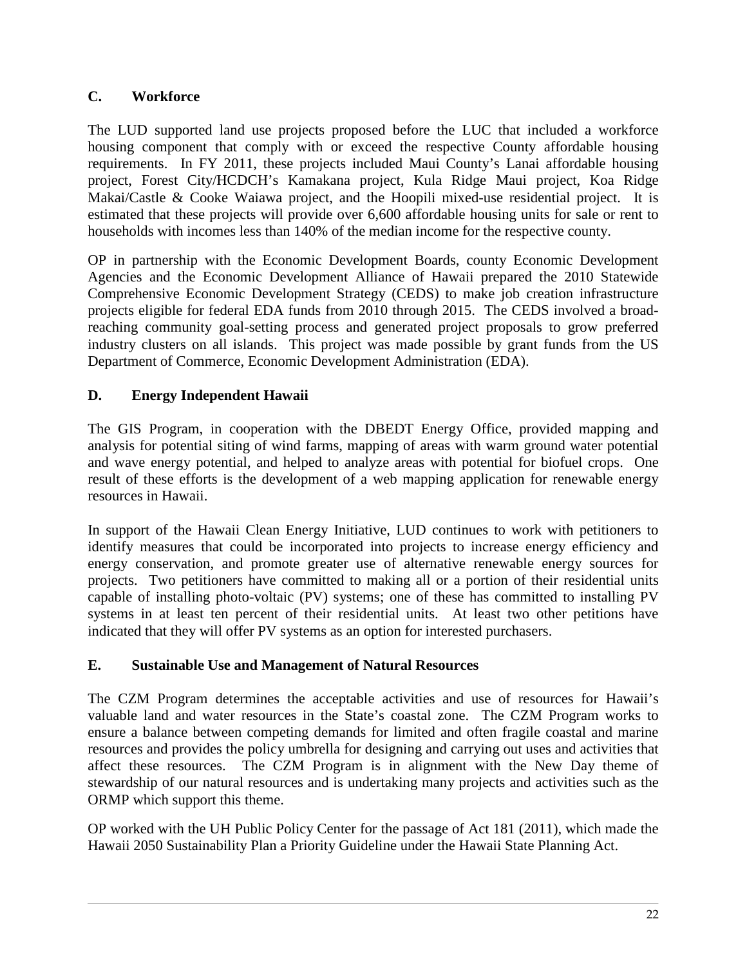# <span id="page-23-0"></span>**C. Workforce**

The LUD supported land use projects proposed before the LUC that included a workforce housing component that comply with or exceed the respective County affordable housing requirements. In FY 2011, these projects included Maui County's Lanai affordable housing project, Forest City/HCDCH's Kamakana project, Kula Ridge Maui project, Koa Ridge Makai/Castle & Cooke Waiawa project, and the Hoopili mixed-use residential project. It is estimated that these projects will provide over 6,600 affordable housing units for sale or rent to households with incomes less than 140% of the median income for the respective county.

OP in partnership with the Economic Development Boards, county Economic Development Agencies and the Economic Development Alliance of Hawaii prepared the 2010 Statewide Comprehensive Economic Development Strategy (CEDS) to make job creation infrastructure projects eligible for federal EDA funds from 2010 through 2015. The CEDS involved a broadreaching community goal-setting process and generated project proposals to grow preferred industry clusters on all islands. This project was made possible by grant funds from the US Department of Commerce, Economic Development Administration (EDA).

# <span id="page-23-1"></span>**D. Energy Independent Hawaii**

The GIS Program, in cooperation with the DBEDT Energy Office, provided mapping and analysis for potential siting of wind farms, mapping of areas with warm ground water potential and wave energy potential, and helped to analyze areas with potential for biofuel crops. One result of these efforts is the development of a web mapping application for renewable energy resources in Hawaii.

In support of the Hawaii Clean Energy Initiative, LUD continues to work with petitioners to identify measures that could be incorporated into projects to increase energy efficiency and energy conservation, and promote greater use of alternative renewable energy sources for projects. Two petitioners have committed to making all or a portion of their residential units capable of installing photo-voltaic (PV) systems; one of these has committed to installing PV systems in at least ten percent of their residential units. At least two other petitions have indicated that they will offer PV systems as an option for interested purchasers.

# <span id="page-23-2"></span>**E. Sustainable Use and Management of Natural Resources**

The CZM Program determines the acceptable activities and use of resources for Hawaii's valuable land and water resources in the State's coastal zone. The CZM Program works to ensure a balance between competing demands for limited and often fragile coastal and marine resources and provides the policy umbrella for designing and carrying out uses and activities that affect these resources. The CZM Program is in alignment with the New Day theme of stewardship of our natural resources and is undertaking many projects and activities such as the ORMP which support this theme.

OP worked with the UH Public Policy Center for the passage of Act 181 (2011), which made the Hawaii 2050 Sustainability Plan a Priority Guideline under the Hawaii State Planning Act.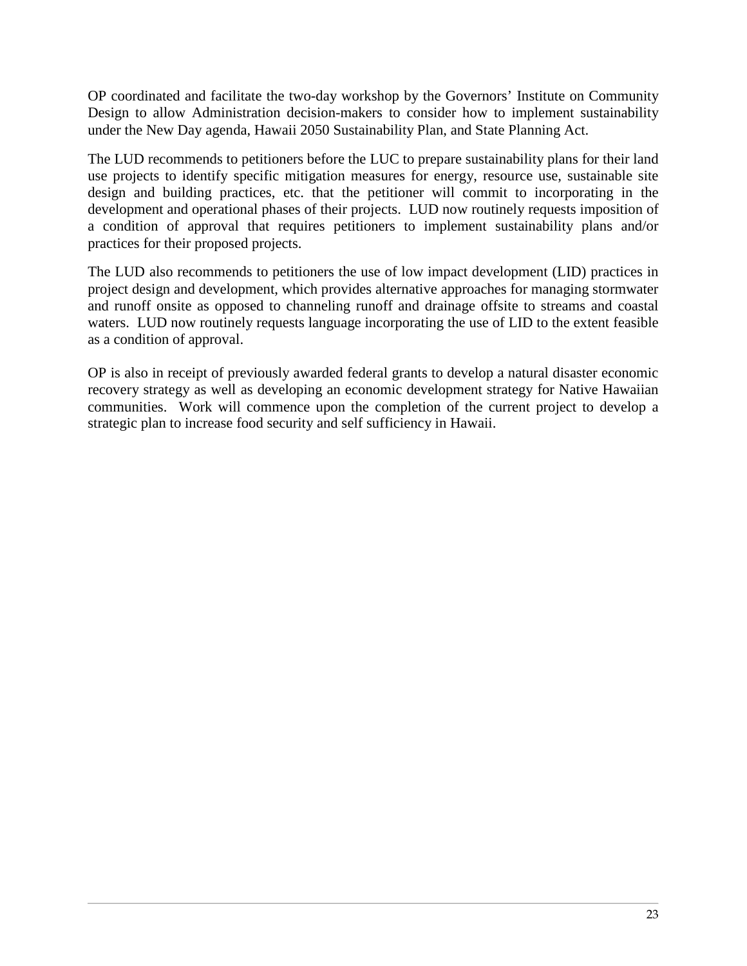OP coordinated and facilitate the two-day workshop by the Governors' Institute on Community Design to allow Administration decision-makers to consider how to implement sustainability under the New Day agenda, Hawaii 2050 Sustainability Plan, and State Planning Act.

The LUD recommends to petitioners before the LUC to prepare sustainability plans for their land use projects to identify specific mitigation measures for energy, resource use, sustainable site design and building practices, etc. that the petitioner will commit to incorporating in the development and operational phases of their projects. LUD now routinely requests imposition of a condition of approval that requires petitioners to implement sustainability plans and/or practices for their proposed projects.

The LUD also recommends to petitioners the use of low impact development (LID) practices in project design and development, which provides alternative approaches for managing stormwater and runoff onsite as opposed to channeling runoff and drainage offsite to streams and coastal waters. LUD now routinely requests language incorporating the use of LID to the extent feasible as a condition of approval.

OP is also in receipt of previously awarded federal grants to develop a natural disaster economic recovery strategy as well as developing an economic development strategy for Native Hawaiian communities. Work will commence upon the completion of the current project to develop a strategic plan to increase food security and self sufficiency in Hawaii.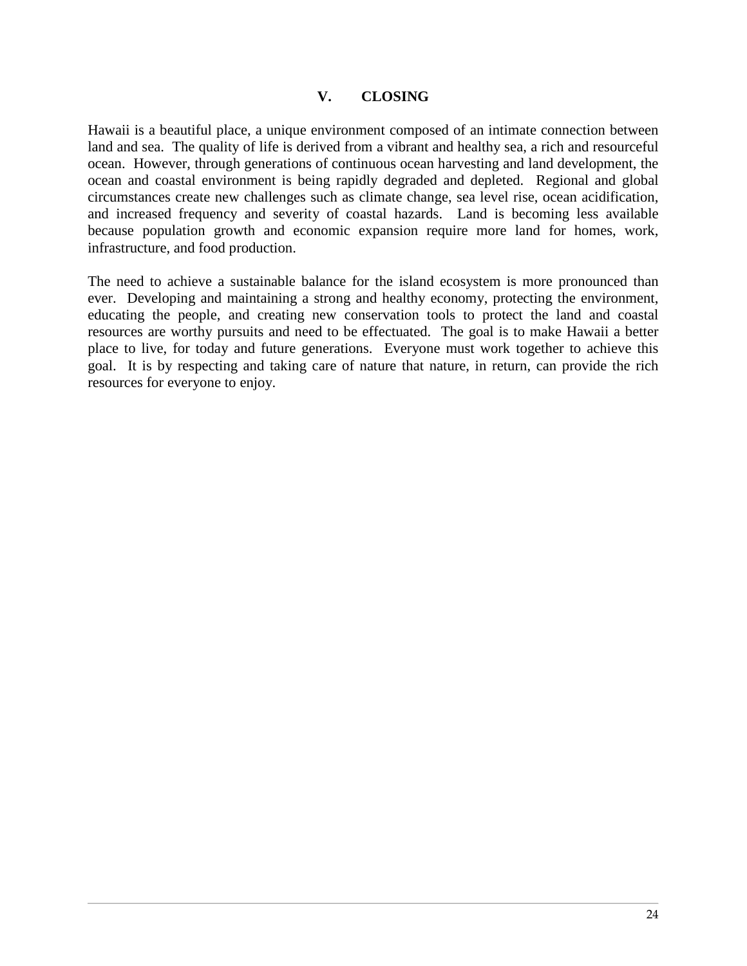#### **V. CLOSING**

<span id="page-25-0"></span>Hawaii is a beautiful place, a unique environment composed of an intimate connection between land and sea. The quality of life is derived from a vibrant and healthy sea, a rich and resourceful ocean. However, through generations of continuous ocean harvesting and land development, the ocean and coastal environment is being rapidly degraded and depleted. Regional and global circumstances create new challenges such as climate change, sea level rise, ocean acidification, and increased frequency and severity of coastal hazards. Land is becoming less available because population growth and economic expansion require more land for homes, work, infrastructure, and food production.

The need to achieve a sustainable balance for the island ecosystem is more pronounced than ever. Developing and maintaining a strong and healthy economy, protecting the environment, educating the people, and creating new conservation tools to protect the land and coastal resources are worthy pursuits and need to be effectuated. The goal is to make Hawaii a better place to live, for today and future generations. Everyone must work together to achieve this goal. It is by respecting and taking care of nature that nature, in return, can provide the rich resources for everyone to enjoy.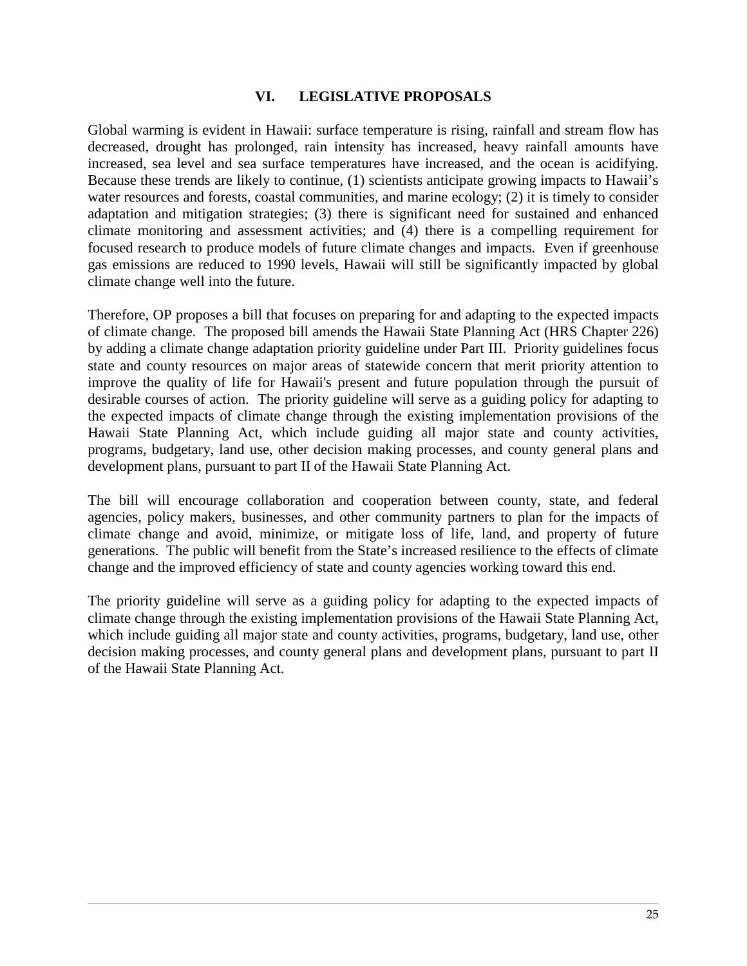#### **VI. LEGISLATIVE PROPOSALS**

<span id="page-26-0"></span>Global warming is evident in Hawaii: surface temperature is rising, rainfall and stream flow has decreased, drought has prolonged, rain intensity has increased, heavy rainfall amounts have increased, sea level and sea surface temperatures have increased, and the ocean is acidifying. Because these trends are likely to continue, (1) scientists anticipate growing impacts to Hawaii's water resources and forests, coastal communities, and marine ecology; (2) it is timely to consider adaptation and mitigation strategies; (3) there is significant need for sustained and enhanced climate monitoring and assessment activities; and (4) there is a compelling requirement for focused research to produce models of future climate changes and impacts. Even if greenhouse gas emissions are reduced to 1990 levels, Hawaii will still be significantly impacted by global climate change well into the future.

Therefore, OP proposes a bill that focuses on preparing for and adapting to the expected impacts of climate change. The proposed bill amends the Hawaii State Planning Act (HRS Chapter 226) by adding a climate change adaptation priority guideline under Part III. Priority guidelines focus state and county resources on major areas of statewide concern that merit priority attention to improve the quality of life for Hawaii's present and future population through the pursuit of desirable courses of action. The priority guideline will serve as a guiding policy for adapting to the expected impacts of climate change through the existing implementation provisions of the Hawaii State Planning Act, which include guiding all major state and county activities, programs, budgetary, land use, other decision making processes, and county general plans and development plans, pursuant to part II of the Hawaii State Planning Act.

The bill will encourage collaboration and cooperation between county, state, and federal agencies, policy makers, businesses, and other community partners to plan for the impacts of climate change and avoid, minimize, or mitigate loss of life, land, and property of future generations. The public will benefit from the State's increased resilience to the effects of climate change and the improved efficiency of state and county agencies working toward this end.

The priority guideline will serve as a guiding policy for adapting to the expected impacts of climate change through the existing implementation provisions of the Hawaii State Planning Act, which include guiding all major state and county activities, programs, budgetary, land use, other decision making processes, and county general plans and development plans, pursuant to part II of the Hawaii State Planning Act.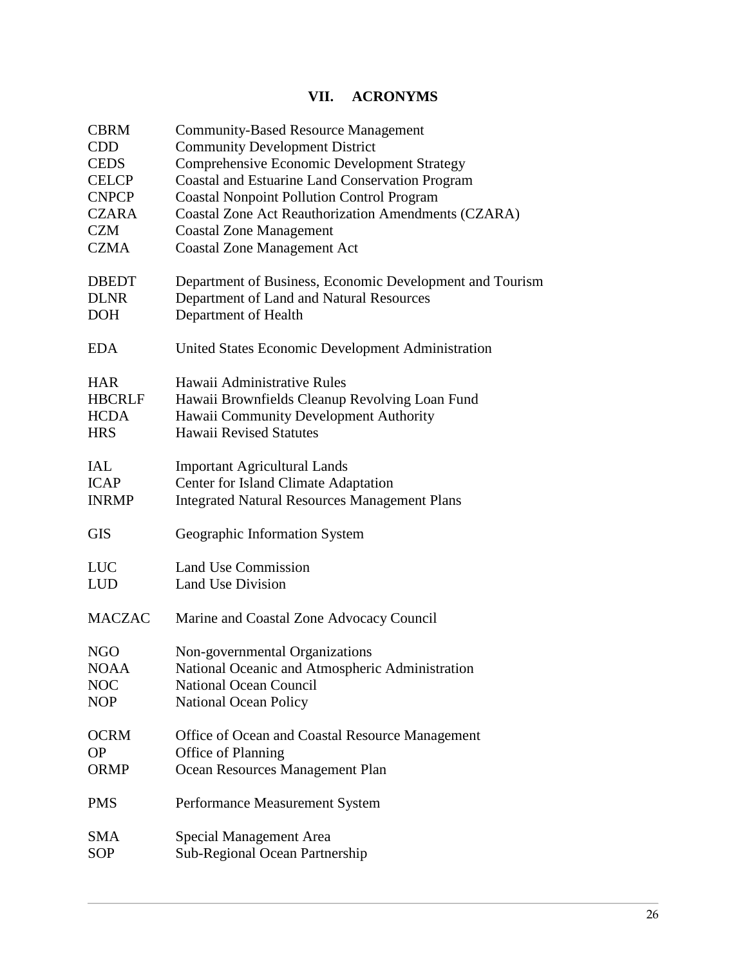# **VII. ACRONYMS**

<span id="page-27-0"></span>

| <b>CBRM</b>   | <b>Community-Based Resource Management</b>                 |
|---------------|------------------------------------------------------------|
| <b>CDD</b>    | <b>Community Development District</b>                      |
| <b>CEDS</b>   | <b>Comprehensive Economic Development Strategy</b>         |
| <b>CELCP</b>  | <b>Coastal and Estuarine Land Conservation Program</b>     |
| <b>CNPCP</b>  | <b>Coastal Nonpoint Pollution Control Program</b>          |
| <b>CZARA</b>  | <b>Coastal Zone Act Reauthorization Amendments (CZARA)</b> |
| <b>CZM</b>    | <b>Coastal Zone Management</b>                             |
| CZMA          | <b>Coastal Zone Management Act</b>                         |
| <b>DBEDT</b>  | Department of Business, Economic Development and Tourism   |
| <b>DLNR</b>   | Department of Land and Natural Resources                   |
| <b>DOH</b>    | Department of Health                                       |
| <b>EDA</b>    | United States Economic Development Administration          |
| <b>HAR</b>    | Hawaii Administrative Rules                                |
| <b>HBCRLF</b> | Hawaii Brownfields Cleanup Revolving Loan Fund             |
| <b>HCDA</b>   | Hawaii Community Development Authority                     |
| <b>HRS</b>    | <b>Hawaii Revised Statutes</b>                             |
| <b>IAL</b>    | <b>Important Agricultural Lands</b>                        |
| <b>ICAP</b>   | <b>Center for Island Climate Adaptation</b>                |
| <b>INRMP</b>  | <b>Integrated Natural Resources Management Plans</b>       |
| <b>GIS</b>    | Geographic Information System                              |
| <b>LUC</b>    | <b>Land Use Commission</b>                                 |
| LUD           | Land Use Division                                          |
| <b>MACZAC</b> | Marine and Coastal Zone Advocacy Council                   |
| <b>NGO</b>    | Non-governmental Organizations                             |
| <b>NOAA</b>   | National Oceanic and Atmospheric Administration            |
| <b>NOC</b>    | <b>National Ocean Council</b>                              |
| <b>NOP</b>    | <b>National Ocean Policy</b>                               |
| <b>OCRM</b>   | Office of Ocean and Coastal Resource Management            |
| <b>OP</b>     | Office of Planning                                         |
| <b>ORMP</b>   | Ocean Resources Management Plan                            |
| <b>PMS</b>    | Performance Measurement System                             |
| SMA           | Special Management Area                                    |
| <b>SOP</b>    | Sub-Regional Ocean Partnership                             |